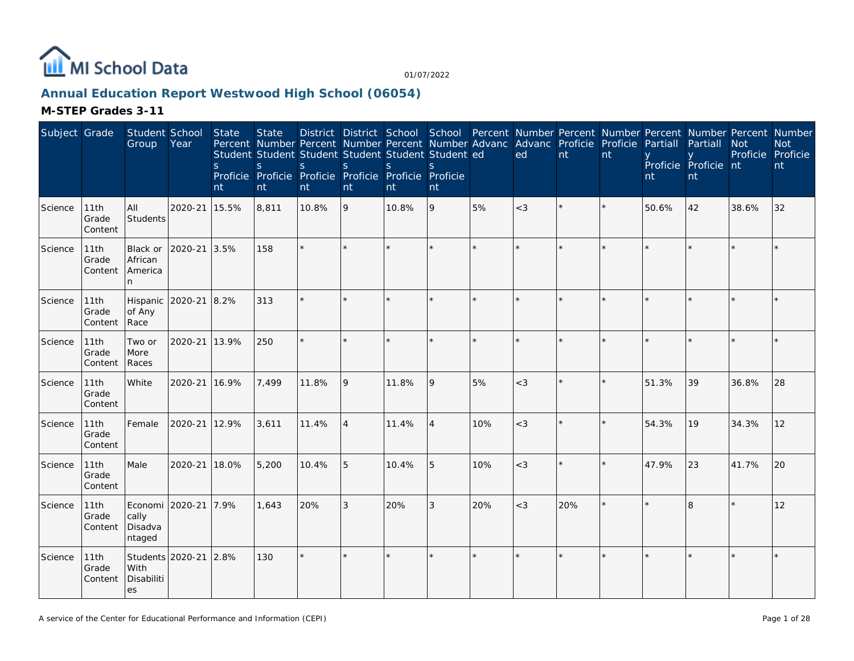

## **Annual Education Report Westwood High School (06054)**

| Subject Grade |                          | Student School<br>Group                      | Year                 | State<br>S.<br>nt | <b>State</b><br>Percent Number Percent Number Percent Number Advanc<br>Student Student Student Student Student Student ed<br><sub>S</sub><br>Proficie Proficie Proficie Proficie Proficie Proficie<br>nt | <sub>S</sub><br>nt | S<br>nt        | District District School School Percent Number Percent Number Percent Number Percent Number<br><sub>S</sub><br>nt | <sub>S</sub><br>nt |     | Advanc Proficie<br>ed | nt  | Proficie<br>nt | Partiall<br>nt | Partiall<br>Proficie Proficie nt<br>nt | <b>Not</b><br>Proficie Proficie | <b>Not</b><br>nt |
|---------------|--------------------------|----------------------------------------------|----------------------|-------------------|----------------------------------------------------------------------------------------------------------------------------------------------------------------------------------------------------------|--------------------|----------------|-------------------------------------------------------------------------------------------------------------------|--------------------|-----|-----------------------|-----|----------------|----------------|----------------------------------------|---------------------------------|------------------|
| Science       | 11th<br>Grade<br>Content | All<br>Students                              | 2020-21              | 15.5%             | 8,811                                                                                                                                                                                                    | 10.8%              | 9              | 10.8%                                                                                                             | 9                  | 5%  | $<$ 3                 |     |                | 50.6%          | 42                                     | 38.6%                           | 32               |
| Science       | 11th<br>Grade<br>Content | Black or<br>African<br>America<br>n          | 2020-21 3.5%         |                   | 158                                                                                                                                                                                                      | $\star$            |                |                                                                                                                   |                    |     |                       |     |                |                |                                        |                                 |                  |
| Science       | 11th<br>Grade<br>Content | Hispanic<br>of Any<br>Race                   | 2020-21 8.2%         |                   | 313                                                                                                                                                                                                      |                    |                |                                                                                                                   |                    |     | $\star$               |     |                |                |                                        |                                 |                  |
| Science       | 11th<br>Grade<br>Content | Two or<br>More<br>Races                      | 2020-21              | 13.9%             | 250                                                                                                                                                                                                      | $\star$            |                |                                                                                                                   |                    |     | ÷                     |     |                |                |                                        |                                 |                  |
| Science       | 11th<br>Grade<br>Content | White                                        | 2020-21 16.9%        |                   | 7,499                                                                                                                                                                                                    | 11.8%              | 9              | 11.8%                                                                                                             | 9                  | 5%  | $<$ 3                 |     | $\star$        | 51.3%          | 39                                     | 36.8%                           | 28               |
| Science       | 11th<br>Grade<br>Content | Female                                       | 2020-21 12.9%        |                   | 3,611                                                                                                                                                                                                    | 11.4%              | $\overline{4}$ | 11.4%                                                                                                             | <sup>4</sup>       | 10% | $<$ 3                 |     |                | 54.3%          | 19                                     | 34.3%                           | 12               |
| Science       | 11th<br>Grade<br>Content | Male                                         | 2020-21              | 18.0%             | 5,200                                                                                                                                                                                                    | 10.4%              | 5              | 10.4%                                                                                                             | 5                  | 10% | $<$ 3                 |     |                | 47.9%          | 23                                     | 41.7%                           | 20               |
| Science       | 11th<br>Grade<br>Content | cally<br>Disadva<br>ntaged                   | Economi 2020-21 7.9% |                   | 1,643                                                                                                                                                                                                    | 20%                | 3              | 20%                                                                                                               | 3                  | 20% | $<$ 3                 | 20% |                |                | 8                                      |                                 | 12               |
| Science       | 11th<br>Grade<br>Content | Students 2020-21<br>With<br>Disabiliti<br>es |                      | 2.8%              | 130                                                                                                                                                                                                      | $\star$            | $\star$        | $\star$                                                                                                           | $\star$            |     | $\star$               |     |                |                |                                        |                                 |                  |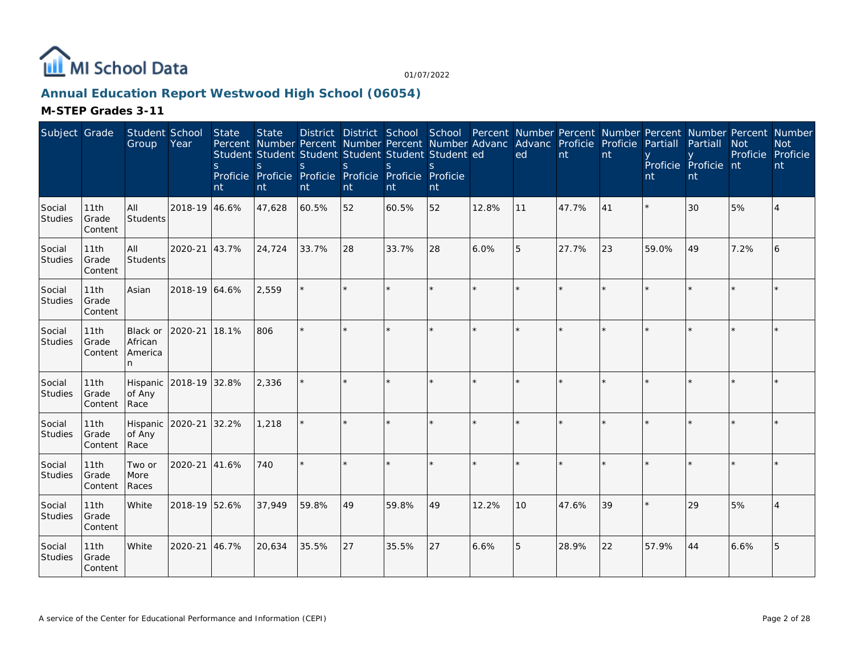

## **Annual Education Report Westwood High School (06054)**

| Subject Grade            |                          | Student School<br>Group             | Year          | State<br><sub>S</sub><br>nt | <b>State</b><br><sub>S</sub><br>nt | Percent Number Percent Number Percent Number Advanc Advanc Proficie Proficie<br>Student Student Student Student Student Student ed<br><sub>S</sub><br>Proficie Proficie Proficie Proficie Proficie Proficie<br>nt | <sub>S</sub><br>nt | S.<br>nt | nt      |         | District District School School Percent Number Percent Number Percent Number Percent Number<br>ed | nt    | nt | Partiall<br>nt | Partiall<br>Proficie Proficie nt<br>nt | <b>Not</b><br>Proficie | <b>Not</b><br>Proficie<br>nt |
|--------------------------|--------------------------|-------------------------------------|---------------|-----------------------------|------------------------------------|-------------------------------------------------------------------------------------------------------------------------------------------------------------------------------------------------------------------|--------------------|----------|---------|---------|---------------------------------------------------------------------------------------------------|-------|----|----------------|----------------------------------------|------------------------|------------------------------|
| Social<br>Studies        | 11th<br>Grade<br>Content | All<br>Students                     | 2018-19 46.6% |                             | 47,628                             | 60.5%                                                                                                                                                                                                             | 52                 | 60.5%    | 52      | 12.8%   | 11                                                                                                | 47.7% | 41 |                | 30                                     | 5%                     | 4                            |
| Social<br>Studies        | 11th<br>Grade<br>Content | All<br><b>Students</b>              | 2020-21       | 43.7%                       | 24,724                             | 33.7%                                                                                                                                                                                                             | 28                 | 33.7%    | 28      | 6.0%    | 5                                                                                                 | 27.7% | 23 | 59.0%          | 49                                     | 7.2%                   | 6                            |
| Social<br>Studies        | 11th<br>Grade<br>Content | Asian                               | 2018-19 64.6% |                             | 2,559                              | $\star$                                                                                                                                                                                                           | ×.                 |          | ×.      | $\star$ |                                                                                                   |       |    |                |                                        |                        |                              |
| Social<br><b>Studies</b> | 11th<br>Grade<br>Content | Black or<br>African<br>America<br>n | 2020-21       | 18.1%                       | 806                                | $\star$                                                                                                                                                                                                           | $\star$            |          | $\star$ |         |                                                                                                   |       |    |                |                                        |                        |                              |
| Social<br>Studies        | 11th<br>Grade<br>Content | Hispanic<br>of Any<br>Race          | 2018-19 32.8% |                             | 2,336                              | $\star$                                                                                                                                                                                                           | $\star$            |          |         |         |                                                                                                   |       |    |                |                                        |                        |                              |
| Social<br>Studies        | 11th<br>Grade<br>Content | Hispanic<br>of Any<br>Race          | 2020-21       | 32.2%                       | 1,218                              |                                                                                                                                                                                                                   | ×.                 |          | $\star$ |         |                                                                                                   |       |    |                |                                        |                        |                              |
| Social<br>Studies        | 11th<br>Grade<br>Content | Two or<br>More<br>Races             | 2020-21       | 41.6%                       | 740                                | ÷.                                                                                                                                                                                                                | ×.                 |          | ×.      |         | $\star$                                                                                           |       |    |                |                                        |                        |                              |
| Social<br><b>Studies</b> | 11th<br>Grade<br>Content | White                               | 2018-19 52.6% |                             | 37,949                             | 59.8%                                                                                                                                                                                                             | 49                 | 59.8%    | 49      | 12.2%   | 10                                                                                                | 47.6% | 39 |                | 29                                     | 5%                     | 4                            |
| Social<br><b>Studies</b> | 11th<br>Grade<br>Content | White                               | 2020-21       | 46.7%                       | 20,634                             | 35.5%                                                                                                                                                                                                             | 27                 | 35.5%    | 27      | 6.6%    | 5                                                                                                 | 28.9% | 22 | 57.9%          | 44                                     | 6.6%                   | 5                            |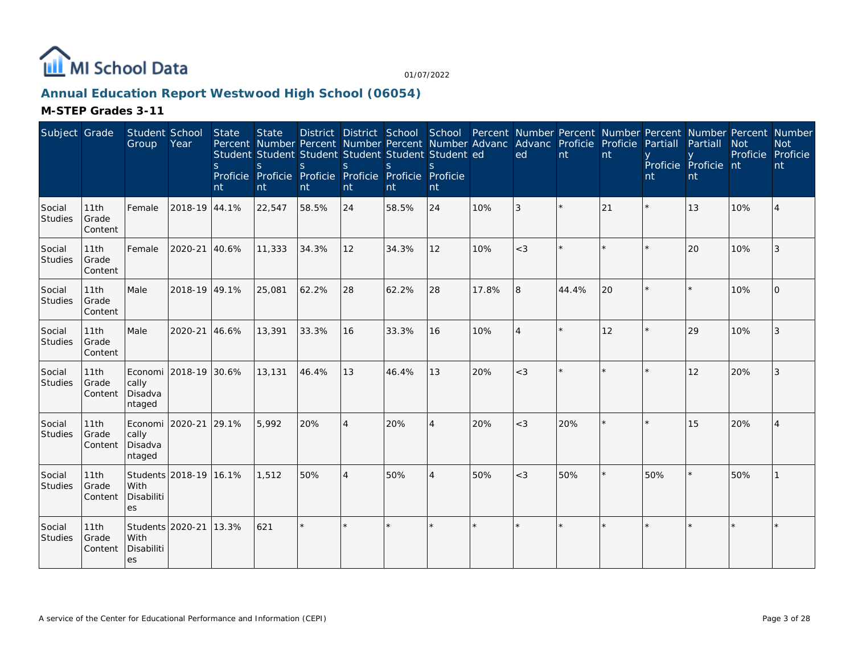

## **Annual Education Report Westwood High School (06054)**

| Subject Grade            |                          | Student School<br>Group                            | Year                   | State<br><sub>S</sub><br>nt | <b>State</b><br>$\mathsf{S}$<br>nt | Percent Number Percent Number Percent Number Advanc<br>Student Student Student Student Student Student ed<br><sub>S</sub><br>Proficie Proficie Proficie Proficie Proficie Proficie<br>nt | <sub>S</sub><br>nt | $\mathbf S$<br>nt | S.<br>nt |       | Advanc Proficie Proficie<br>ed | nt    | nt | Partiall<br>nt | District District School School Percent Number Percent Number Percent Number Percent Number<br>Partiall<br>Proficie Proficie nt<br>nt | <b>Not</b><br>Proficie | <b>Not</b><br>Proficie<br>nt |
|--------------------------|--------------------------|----------------------------------------------------|------------------------|-----------------------------|------------------------------------|------------------------------------------------------------------------------------------------------------------------------------------------------------------------------------------|--------------------|-------------------|----------|-------|--------------------------------|-------|----|----------------|---------------------------------------------------------------------------------------------------------------------------------------|------------------------|------------------------------|
| Social<br><b>Studies</b> | 11th<br>Grade<br>Content | Female                                             | 2018-19 44.1%          |                             | 22,547                             | 58.5%                                                                                                                                                                                    | 24                 | 58.5%             | 24       | 10%   | 3                              |       | 21 |                | 13                                                                                                                                    | 10%                    | $\overline{4}$               |
| Social<br>Studies        | 11th<br>Grade<br>Content | Female                                             | 2020-21                | 40.6%                       | 11,333                             | 34.3%                                                                                                                                                                                    | 12                 | 34.3%             | 12       | 10%   | $<$ 3                          |       |    |                | 20                                                                                                                                    | 10%                    | 3                            |
| Social<br>Studies        | 11th<br>Grade<br>Content | Male                                               | 2018-19 49.1%          |                             | 25,081                             | 62.2%                                                                                                                                                                                    | 28                 | 62.2%             | 28       | 17.8% | 8                              | 44.4% | 20 |                |                                                                                                                                       | 10%                    | $\Omega$                     |
| Social<br>Studies        | 11th<br>Grade<br>Content | Male                                               | 2020-21                | 46.6%                       | 13,391                             | 33.3%                                                                                                                                                                                    | 16                 | 33.3%             | 16       | 10%   | $\overline{4}$                 |       | 12 |                | 29                                                                                                                                    | 10%                    | 3                            |
| Social<br>Studies        | 11th<br>Grade<br>Content | cally<br>Disadva<br>ntaged                         | Economi 2018-19 30.6%  |                             | 13,131                             | 46.4%                                                                                                                                                                                    | 13                 | 46.4%             | 13       | 20%   | $<$ 3                          |       |    |                | 12                                                                                                                                    | 20%                    | 3                            |
| Social<br>Studies        | 11th<br>Grade<br>Content | Economi <sup>[</sup><br>cally<br>Disadva<br>ntaged | 2020-21                | 29.1%                       | 5,992                              | 20%                                                                                                                                                                                      | $\overline{4}$     | 20%               | 4        | 20%   | $<$ 3                          | 20%   |    |                | 15                                                                                                                                    | 20%                    |                              |
| Social<br><b>Studies</b> | 11th<br>Grade<br>Content | With<br>Disabiliti<br>es                           | Students 2018-19 16.1% |                             | 1,512                              | 50%                                                                                                                                                                                      | $\overline{4}$     | 50%               | 4        | 50%   | $<$ 3                          | 50%   |    | 50%            |                                                                                                                                       | 50%                    |                              |
| Social<br>Studies        | 11th<br>Grade<br>Content | Students 2020-21<br>With<br>Disabiliti<br>es       |                        | 13.3%                       | 621                                | $\star$                                                                                                                                                                                  |                    |                   | $\star$  |       |                                |       |    |                |                                                                                                                                       |                        |                              |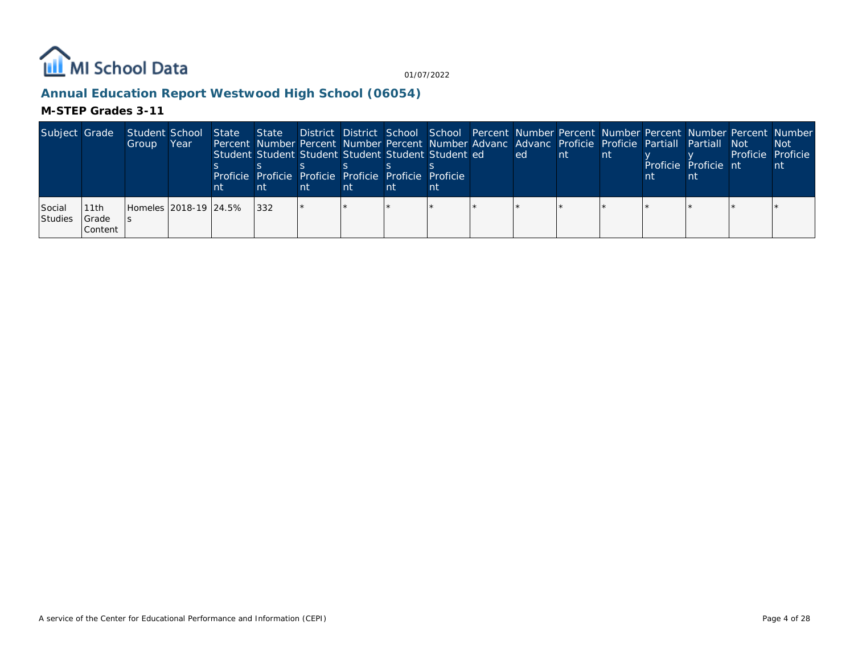

## **Annual Education Report Westwood High School (06054)**

| Subject Grade            |                          | Student School<br>Group | Year | State<br>nt | Student Student Student Student Student Student ed<br>Proficie Proficie Proficie Proficie Proficie Proficie | nt | nt | nt | State District District School School Percent Number Percent Number Percent Number Percent Number<br>Percent Number Percent Number Percent Number Advanc Advanc Proficie Proficie Partiall Partiall Not<br>led i | Int. | -nt | Proficie Proficie nt | Proficie Proficie | <b>Not</b><br>nt. |
|--------------------------|--------------------------|-------------------------|------|-------------|-------------------------------------------------------------------------------------------------------------|----|----|----|------------------------------------------------------------------------------------------------------------------------------------------------------------------------------------------------------------------|------|-----|----------------------|-------------------|-------------------|
| Social<br><b>Studies</b> | 11th<br>Grade<br>Content | Homeles 2018-19 24.5%   |      |             | 332                                                                                                         |    |    |    |                                                                                                                                                                                                                  |      |     |                      |                   |                   |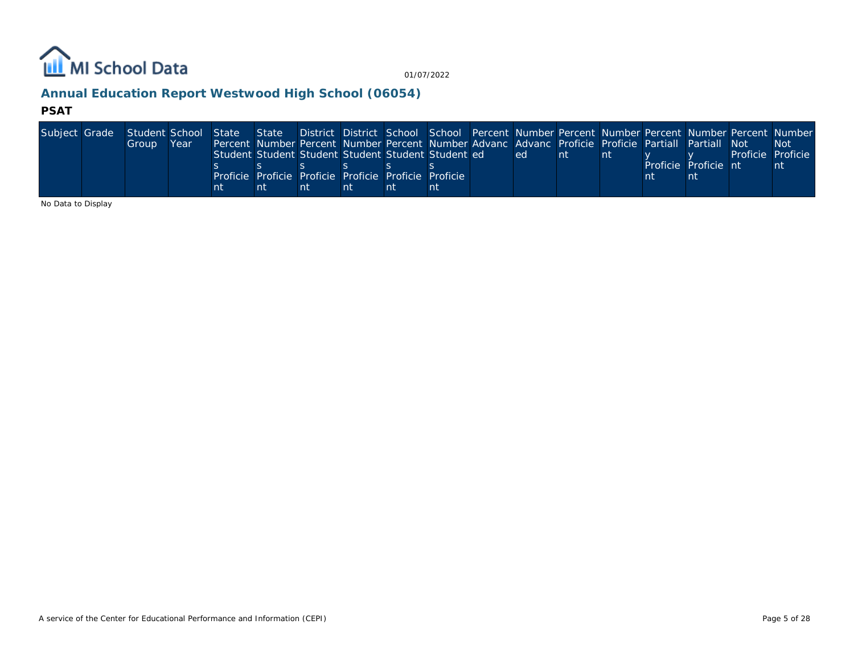

## **Annual Education Report Westwood High School (06054)**

#### **PSAT**

| Subject Grade | Student School State State District District School School Percent Number Percent Number Percent Number Percent Number |      |    |                                                                                                    |    |    |    |      |     |  |                      |                   |      |
|---------------|------------------------------------------------------------------------------------------------------------------------|------|----|----------------------------------------------------------------------------------------------------|----|----|----|------|-----|--|----------------------|-------------------|------|
|               | Group                                                                                                                  | Year |    | Percent Number Percent Number Percent Number Advanc Advanc Proficie Proficie Partiall Partiall Not |    |    |    |      |     |  |                      |                   | -Not |
|               |                                                                                                                        |      |    | Student Student Student Student Student Student ed                                                 |    |    |    | led. | -nt |  |                      | Proficie Proficie |      |
|               |                                                                                                                        |      |    |                                                                                                    |    |    |    |      |     |  | Proficie Proficie nt |                   | nt   |
|               |                                                                                                                        |      |    | Proficie Proficie Proficie Proficie Proficie Proficie                                              |    |    |    |      |     |  |                      |                   |      |
|               |                                                                                                                        |      | nt |                                                                                                    | nt | nt | nt |      |     |  |                      |                   |      |

No Data to Display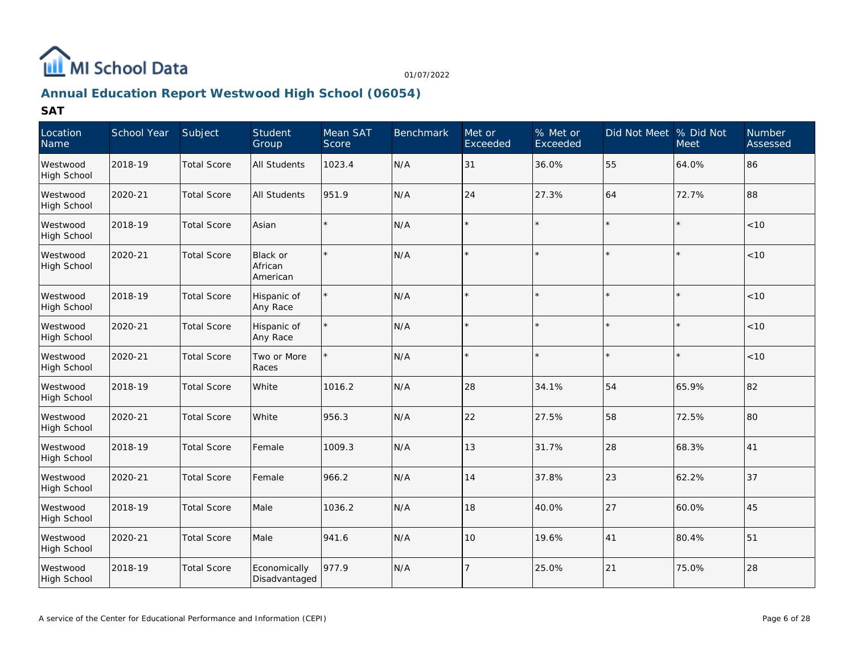

## **Annual Education Report Westwood High School (06054)**

| Location<br>Name               | School Year | Subject            | Student<br>Group                | Mean SAT<br>Score | <b>Benchmark</b> | Met or<br>Exceeded | % Met or<br>Exceeded | Did Not Meet % Did Not | <b>Meet</b> | <b>Number</b><br>Assessed |
|--------------------------------|-------------|--------------------|---------------------------------|-------------------|------------------|--------------------|----------------------|------------------------|-------------|---------------------------|
| Westwood<br>High School        | 2018-19     | <b>Total Score</b> | <b>All Students</b>             | 1023.4            | N/A              | 31                 | 36.0%                | 55                     | 64.0%       | 86                        |
| Westwood<br>High School        | 2020-21     | <b>Total Score</b> | <b>All Students</b>             | 951.9             | N/A              | 24                 | 27.3%                | 64                     | 72.7%       | 88                        |
| Westwood<br><b>High School</b> | 2018-19     | <b>Total Score</b> | Asian                           |                   | N/A              |                    |                      |                        |             | $<10$                     |
| Westwood<br>High School        | 2020-21     | <b>Total Score</b> | Black or<br>African<br>American |                   | N/A              |                    |                      |                        |             | < 10                      |
| Westwood<br>High School        | 2018-19     | <b>Total Score</b> | Hispanic of<br>Any Race         | $\star$           | N/A              |                    |                      |                        |             | < 10                      |
| Westwood<br>High School        | 2020-21     | <b>Total Score</b> | Hispanic of<br>Any Race         | $\star$           | N/A              |                    |                      |                        |             | < 10                      |
| Westwood<br>High School        | 2020-21     | <b>Total Score</b> | Two or More<br>Races            |                   | N/A              |                    |                      | $\star$                | $\star$     | < 10                      |
| Westwood<br>High School        | 2018-19     | <b>Total Score</b> | White                           | 1016.2            | N/A              | 28                 | 34.1%                | 54                     | 65.9%       | 82                        |
| Westwood<br>High School        | 2020-21     | <b>Total Score</b> | White                           | 956.3             | N/A              | 22                 | 27.5%                | 58                     | 72.5%       | 80                        |
| Westwood<br><b>High School</b> | 2018-19     | <b>Total Score</b> | Female                          | 1009.3            | N/A              | 13                 | 31.7%                | 28                     | 68.3%       | 41                        |
| Westwood<br>High School        | 2020-21     | <b>Total Score</b> | Female                          | 966.2             | N/A              | 14                 | 37.8%                | 23                     | 62.2%       | 37                        |
| Westwood<br>High School        | 2018-19     | <b>Total Score</b> | Male                            | 1036.2            | N/A              | 18                 | 40.0%                | 27                     | 60.0%       | 45                        |
| Westwood<br><b>High School</b> | 2020-21     | <b>Total Score</b> | Male                            | 941.6             | N/A              | 10                 | 19.6%                | 41                     | 80.4%       | 51                        |
| Westwood<br>High School        | 2018-19     | <b>Total Score</b> | Economically<br>Disadvantaged   | 977.9             | N/A              | - 7                | 25.0%                | 21                     | 75.0%       | 28                        |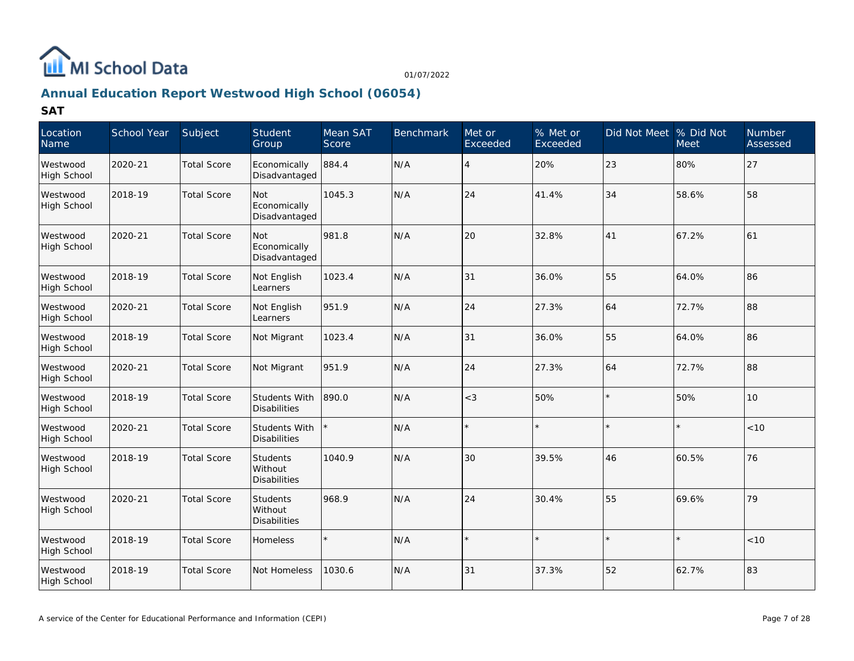

## **Annual Education Report Westwood High School (06054)**

| Location<br>Name               | School Year | Subject            | Student<br>Group                            | Mean SAT<br>Score | <b>Benchmark</b> | Met or<br>Exceeded | % Met or<br>Exceeded | Did Not Meet % Did Not | <b>Meet</b> | <b>Number</b><br>Assessed |
|--------------------------------|-------------|--------------------|---------------------------------------------|-------------------|------------------|--------------------|----------------------|------------------------|-------------|---------------------------|
| Westwood<br><b>High School</b> | 2020-21     | <b>Total Score</b> | Economically<br>Disadvantaged               | 884.4             | N/A              | $\overline{4}$     | 20%                  | 23                     | 80%         | 27                        |
| Westwood<br><b>High School</b> | 2018-19     | <b>Total Score</b> | Not<br>Economically<br>Disadvantaged        | 1045.3            | N/A              | 24                 | 41.4%                | 34                     | 58.6%       | 58                        |
| Westwood<br><b>High School</b> | 2020-21     | <b>Total Score</b> | <b>Not</b><br>Economically<br>Disadvantaged | 981.8             | N/A              | 20                 | 32.8%                | 41                     | 67.2%       | 61                        |
| Westwood<br>High School        | 2018-19     | <b>Total Score</b> | Not English<br>Learners                     | 1023.4            | N/A              | 31                 | 36.0%                | 55                     | 64.0%       | 86                        |
| Westwood<br><b>High School</b> | 2020-21     | <b>Total Score</b> | Not English<br>Learners                     | 951.9             | N/A              | 24                 | 27.3%                | 64                     | 72.7%       | 88                        |
| Westwood<br><b>High School</b> | 2018-19     | <b>Total Score</b> | Not Migrant                                 | 1023.4            | N/A              | 31                 | 36.0%                | 55                     | 64.0%       | 86                        |
| Westwood<br><b>High School</b> | 2020-21     | <b>Total Score</b> | Not Migrant                                 | 951.9             | N/A              | 24                 | 27.3%                | 64                     | 72.7%       | 88                        |
| Westwood<br><b>High School</b> | 2018-19     | <b>Total Score</b> | Students With<br>Disabilities               | 890.0             | N/A              | $<$ 3              | 50%                  | $\star$                | 50%         | 10                        |
| Westwood<br><b>High School</b> | 2020-21     | <b>Total Score</b> | Students With<br><b>Disabilities</b>        |                   | N/A              |                    |                      | $\star$                |             | < 10                      |
| Westwood<br><b>High School</b> | 2018-19     | <b>Total Score</b> | Students<br>Without<br><b>Disabilities</b>  | 1040.9            | N/A              | 30                 | 39.5%                | 46                     | 60.5%       | 76                        |
| Westwood<br>High School        | 2020-21     | <b>Total Score</b> | Students<br>Without<br>Disabilities         | 968.9             | N/A              | 24                 | 30.4%                | 55                     | 69.6%       | 79                        |
| Westwood<br><b>High School</b> | 2018-19     | <b>Total Score</b> | <b>Homeless</b>                             |                   | N/A              |                    | $\star$              | $\star$                | $\star$     | < 10                      |
| Westwood<br>High School        | 2018-19     | <b>Total Score</b> | Not Homeless                                | 1030.6            | N/A              | 31                 | 37.3%                | 52                     | 62.7%       | 83                        |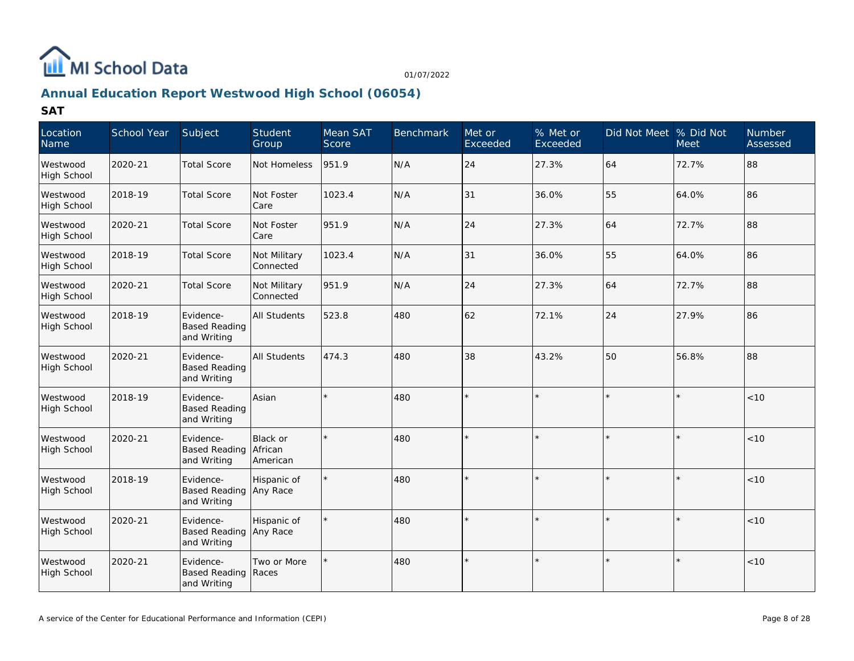

## **Annual Education Report Westwood High School (06054)**

| Location<br>Name               | School Year | Subject                                            | Student<br>Group                | Mean SAT<br>Score | <b>Benchmark</b> | Met or<br>Exceeded | % Met or<br>Exceeded | Did Not Meet  % Did Not | <b>Meet</b> | Number<br>Assessed |
|--------------------------------|-------------|----------------------------------------------------|---------------------------------|-------------------|------------------|--------------------|----------------------|-------------------------|-------------|--------------------|
| Westwood<br>High School        | 2020-21     | <b>Total Score</b>                                 | Not Homeless                    | 951.9             | N/A              | 24                 | 27.3%                | 64                      | 72.7%       | 88                 |
| Westwood<br>High School        | 2018-19     | <b>Total Score</b>                                 | Not Foster<br>Care              | 1023.4            | N/A              | 31                 | 36.0%                | 55                      | 64.0%       | 86                 |
| Westwood<br><b>High School</b> | 2020-21     | <b>Total Score</b>                                 | Not Foster<br>Care              | 951.9             | N/A              | 24                 | 27.3%                | 64                      | 72.7%       | 88                 |
| Westwood<br><b>High School</b> | 2018-19     | <b>Total Score</b>                                 | Not Military<br>Connected       | 1023.4            | N/A              | 31                 | 36.0%                | 55                      | 64.0%       | 86                 |
| Westwood<br><b>High School</b> | 2020-21     | <b>Total Score</b>                                 | Not Military<br>Connected       | 951.9             | N/A              | 24                 | 27.3%                | 64                      | 72.7%       | 88                 |
| Westwood<br><b>High School</b> | 2018-19     | Evidence-<br><b>Based Reading</b><br>and Writing   | All Students                    | 523.8             | 480              | 62                 | 72.1%                | 24                      | 27.9%       | 86                 |
| Westwood<br><b>High School</b> | 2020-21     | Evidence-<br><b>Based Reading</b><br>and Writing   | <b>All Students</b>             | 474.3             | 480              | 38                 | 43.2%                | 50                      | 56.8%       | 88                 |
| Westwood<br><b>High School</b> | 2018-19     | Evidence-<br><b>Based Reading</b><br>and Writing   | Asian                           |                   | 480              |                    |                      | $\star$                 |             | < 10               |
| Westwood<br>High School        | 2020-21     | Evidence-<br><b>Based Reading</b><br>and Writing   | Black or<br>African<br>American |                   | 480              |                    |                      | $\star$                 |             | < 10               |
| Westwood<br>High School        | 2018-19     | Evidence-<br><b>Based Reading</b><br>and Writing   | Hispanic of<br>Any Race         |                   | 480              |                    |                      | $\star$                 |             | < 10               |
| Westwood<br>High School        | 2020-21     | Evidence-<br>Based Reading Any Race<br>and Writing | Hispanic of                     |                   | 480              |                    |                      | $\star$                 |             | < 10               |
| Westwood<br><b>High School</b> | 2020-21     | Evidence-<br><b>Based Reading</b><br>and Writing   | Two or More<br>Races            |                   | 480              |                    |                      | $\star$                 | $\star$     | $<10$              |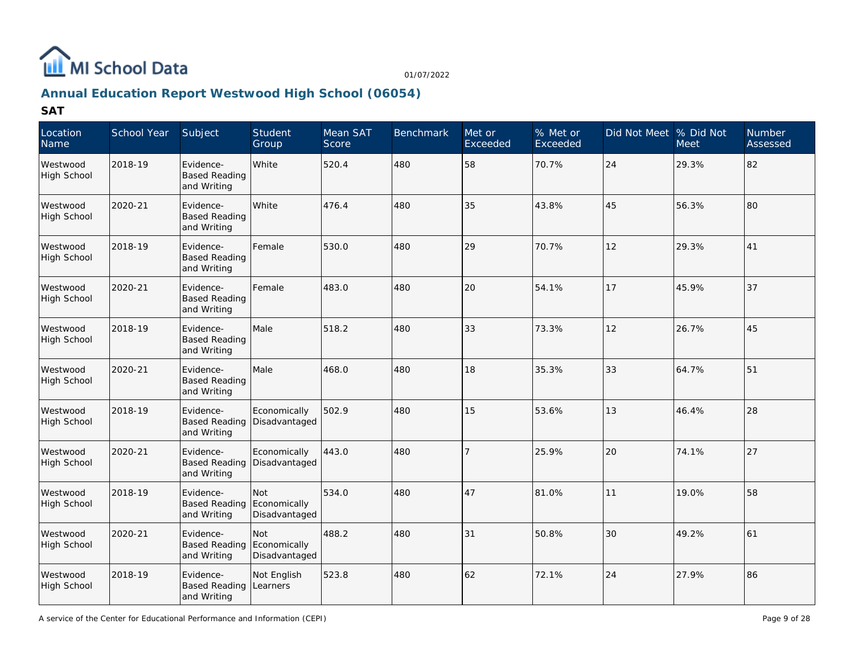

## **Annual Education Report Westwood High School (06054)**

| Location<br>Name               | School Year | Subject                                          | Student<br>Group                     | Mean SAT<br>Score | <b>Benchmark</b> | Met or<br>Exceeded | % Met or<br>Exceeded | Did Not Meet % Did Not | Meet  | <b>Number</b><br>Assessed |
|--------------------------------|-------------|--------------------------------------------------|--------------------------------------|-------------------|------------------|--------------------|----------------------|------------------------|-------|---------------------------|
| Westwood<br><b>High School</b> | 2018-19     | Evidence-<br><b>Based Reading</b><br>and Writing | White                                | 520.4             | 480              | 58                 | 70.7%                | 24                     | 29.3% | 82                        |
| Westwood<br><b>High School</b> | 2020-21     | Evidence-<br><b>Based Reading</b><br>and Writing | White                                | 476.4             | 480              | 35                 | 43.8%                | 45                     | 56.3% | 80                        |
| Westwood<br><b>High School</b> | 2018-19     | Evidence-<br><b>Based Reading</b><br>and Writing | Female                               | 530.0             | 480              | 29                 | 70.7%                | 12                     | 29.3% | 41                        |
| Westwood<br>High School        | 2020-21     | Evidence-<br><b>Based Reading</b><br>and Writing | Female                               | 483.0             | 480              | 20                 | 54.1%                | 17                     | 45.9% | 37                        |
| Westwood<br><b>High School</b> | 2018-19     | Evidence-<br><b>Based Reading</b><br>and Writing | Male                                 | 518.2             | 480              | 33                 | 73.3%                | 12                     | 26.7% | 45                        |
| Westwood<br><b>High School</b> | 2020-21     | Evidence-<br><b>Based Reading</b><br>and Writing | Male                                 | 468.0             | 480              | 18                 | 35.3%                | 33                     | 64.7% | 51                        |
| Westwood<br>High School        | 2018-19     | Evidence-<br><b>Based Reading</b><br>and Writing | Economically<br>Disadvantaged        | 502.9             | 480              | 15                 | 53.6%                | 13                     | 46.4% | 28                        |
| Westwood<br><b>High School</b> | 2020-21     | Evidence-<br><b>Based Reading</b><br>and Writing | Economically<br>Disadvantaged        | 443.0             | 480              | 7                  | 25.9%                | 20                     | 74.1% | 27                        |
| Westwood<br><b>High School</b> | 2018-19     | Evidence-<br><b>Based Reading</b><br>and Writing | Not<br>Economically<br>Disadvantaged | 534.0             | 480              | 47                 | 81.0%                | 11                     | 19.0% | 58                        |
| Westwood<br>High School        | 2020-21     | Evidence-<br><b>Based Reading</b><br>and Writing | Not<br>Economically<br>Disadvantaged | 488.2             | 480              | 31                 | 50.8%                | 30                     | 49.2% | 61                        |
| Westwood<br><b>High School</b> | 2018-19     | Evidence-<br><b>Based Reading</b><br>and Writing | Not English<br>Learners              | 523.8             | 480              | 62                 | 72.1%                | 24                     | 27.9% | 86                        |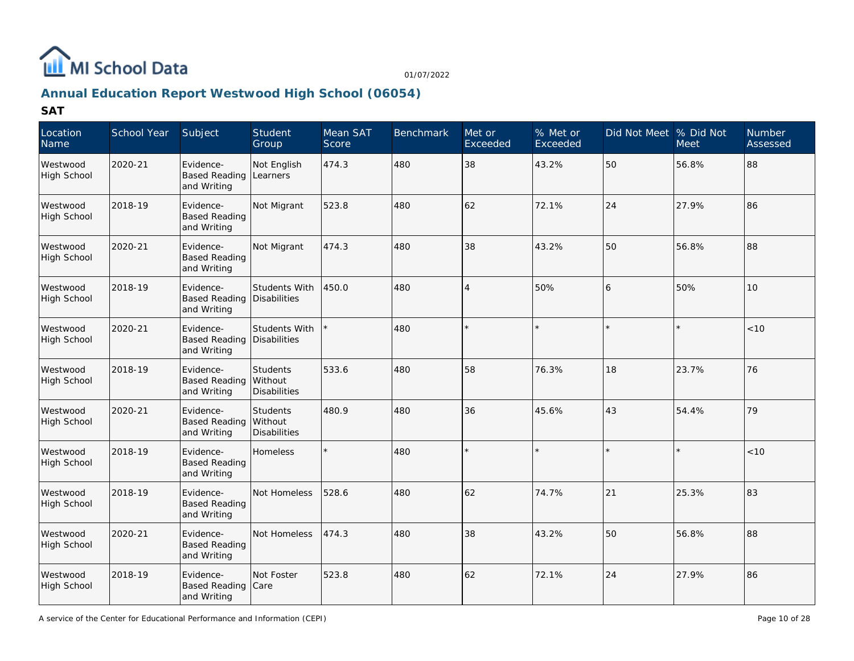

## **Annual Education Report Westwood High School (06054)**

| Location<br>Name               | School Year | Subject                                          | Student<br>Group                                  | Mean SAT<br>Score | <b>Benchmark</b> | Met or<br>Exceeded | % Met or<br>Exceeded | Did Not Meet % Did Not | Meet  | <b>Number</b><br>Assessed |
|--------------------------------|-------------|--------------------------------------------------|---------------------------------------------------|-------------------|------------------|--------------------|----------------------|------------------------|-------|---------------------------|
| Westwood<br><b>High School</b> | 2020-21     | Evidence-<br><b>Based Reading</b><br>and Writing | Not English<br>Learners                           | 474.3             | 480              | 38                 | 43.2%                | 50                     | 56.8% | 88                        |
| Westwood<br>High School        | 2018-19     | Evidence-<br><b>Based Reading</b><br>and Writing | Not Migrant                                       | 523.8             | 480              | 62                 | 72.1%                | 24                     | 27.9% | 86                        |
| Westwood<br><b>High School</b> | 2020-21     | Evidence-<br><b>Based Reading</b><br>and Writing | Not Migrant                                       | 474.3             | 480              | 38                 | 43.2%                | 50                     | 56.8% | 88                        |
| Westwood<br><b>High School</b> | 2018-19     | Evidence-<br><b>Based Reading</b><br>and Writing | Students With<br>Disabilities                     | 450.0             | 480              | $\overline{4}$     | 50%                  | 6                      | 50%   | 10                        |
| Westwood<br><b>High School</b> | 2020-21     | Evidence-<br><b>Based Reading</b><br>and Writing | <b>Students With</b><br>Disabilities              |                   | 480              |                    |                      |                        |       | < 10                      |
| Westwood<br><b>High School</b> | 2018-19     | Evidence-<br><b>Based Reading</b><br>and Writing | Students<br>Without<br>Disabilities               | 533.6             | 480              | 58                 | 76.3%                | 18                     | 23.7% | 76                        |
| Westwood<br><b>High School</b> | 2020-21     | Evidence-<br><b>Based Reading</b><br>and Writing | <b>Students</b><br>Without<br><b>Disabilities</b> | 480.9             | 480              | 36                 | 45.6%                | 43                     | 54.4% | 79                        |
| Westwood<br><b>High School</b> | 2018-19     | Evidence-<br><b>Based Reading</b><br>and Writing | Homeless                                          |                   | 480              |                    |                      |                        |       | < 10                      |
| Westwood<br><b>High School</b> | 2018-19     | Evidence-<br><b>Based Reading</b><br>and Writing | Not Homeless                                      | 528.6             | 480              | 62                 | 74.7%                | 21                     | 25.3% | 83                        |
| Westwood<br><b>High School</b> | 2020-21     | Evidence-<br><b>Based Reading</b><br>and Writing | Not Homeless                                      | 474.3             | 480              | 38                 | 43.2%                | 50                     | 56.8% | 88                        |
| Westwood<br><b>High School</b> | 2018-19     | Evidence-<br><b>Based Reading</b><br>and Writing | Not Foster<br>Care                                | 523.8             | 480              | 62                 | 72.1%                | 24                     | 27.9% | 86                        |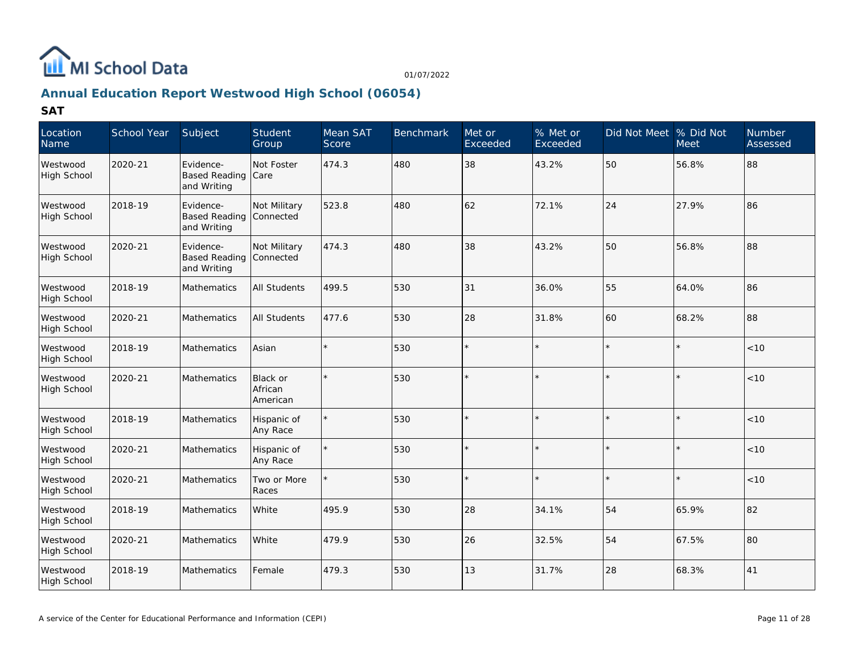

## **Annual Education Report Westwood High School (06054)**

| Location<br>Name               | School Year | Subject                                          | Student<br>Group                | Mean SAT<br>Score | <b>Benchmark</b> | Met or<br>Exceeded | % Met or<br>Exceeded | Did Not Meet % Did Not | <b>Meet</b> | <b>Number</b><br>Assessed |
|--------------------------------|-------------|--------------------------------------------------|---------------------------------|-------------------|------------------|--------------------|----------------------|------------------------|-------------|---------------------------|
| Westwood<br><b>High School</b> | 2020-21     | Evidence-<br><b>Based Reading</b><br>and Writing | Not Foster<br>Care              | 474.3             | 480              | 38                 | 43.2%                | 50                     | 56.8%       | 88                        |
| Westwood<br>High School        | 2018-19     | Evidence-<br><b>Based Reading</b><br>and Writing | Not Military<br>Connected       | 523.8             | 480              | 62                 | 72.1%                | 24                     | 27.9%       | 86                        |
| Westwood<br>High School        | 2020-21     | Evidence-<br><b>Based Reading</b><br>and Writing | Not Military<br>Connected       | 474.3             | 480              | 38                 | 43.2%                | 50                     | 56.8%       | 88                        |
| Westwood<br><b>High School</b> | 2018-19     | Mathematics                                      | <b>All Students</b>             | 499.5             | 530              | 31                 | 36.0%                | 55                     | 64.0%       | 86                        |
| Westwood<br>High School        | 2020-21     | Mathematics                                      | <b>All Students</b>             | 477.6             | 530              | 28                 | 31.8%                | 60                     | 68.2%       | 88                        |
| Westwood<br><b>High School</b> | 2018-19     | Mathematics                                      | Asian                           |                   | 530              |                    |                      |                        |             | < 10                      |
| Westwood<br>High School        | 2020-21     | Mathematics                                      | Black or<br>African<br>American |                   | 530              |                    |                      |                        |             | $<10$                     |
| Westwood<br>High School        | 2018-19     | <b>Mathematics</b>                               | Hispanic of<br>Any Race         | $\star$           | 530              |                    |                      |                        |             | < 10                      |
| Westwood<br><b>High School</b> | 2020-21     | Mathematics                                      | Hispanic of<br>Any Race         |                   | 530              |                    |                      |                        |             | < 10                      |
| Westwood<br>High School        | 2020-21     | Mathematics                                      | Two or More<br>Races            |                   | 530              |                    |                      |                        |             | < 10                      |
| Westwood<br><b>High School</b> | 2018-19     | Mathematics                                      | White                           | 495.9             | 530              | 28                 | 34.1%                | 54                     | 65.9%       | 82                        |
| Westwood<br>High School        | 2020-21     | <b>Mathematics</b>                               | White                           | 479.9             | 530              | 26                 | 32.5%                | 54                     | 67.5%       | 80                        |
| Westwood<br>High School        | 2018-19     | Mathematics                                      | Female                          | 479.3             | 530              | 13                 | 31.7%                | 28                     | 68.3%       | 41                        |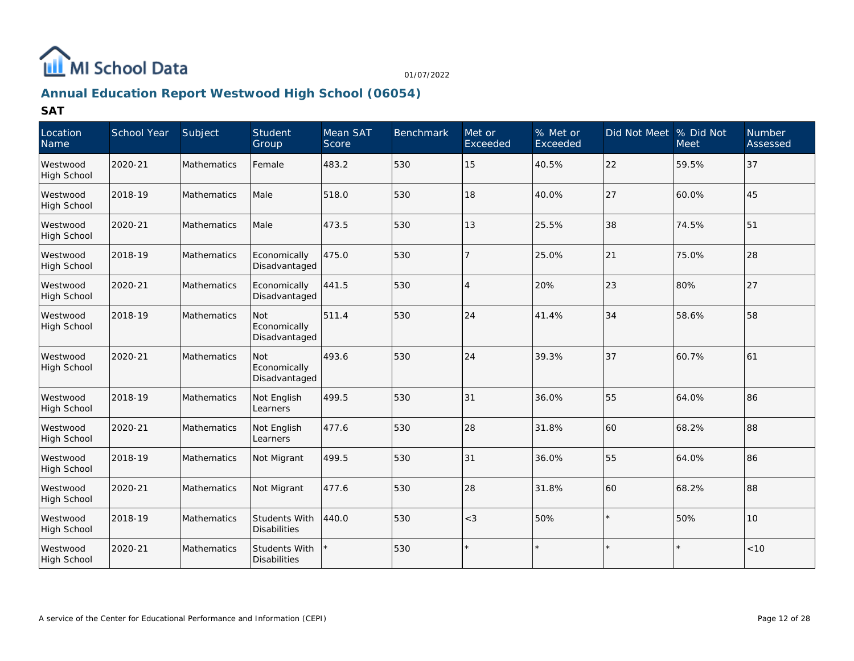

## **Annual Education Report Westwood High School (06054)**

| Location<br>Name               | School Year | Subject            | Student<br>Group                            | Mean SAT<br>Score | <b>Benchmark</b> | Met or<br>Exceeded | % Met or<br>Exceeded | Did Not Meet % Did Not | <b>Meet</b> | <b>Number</b><br>Assessed |
|--------------------------------|-------------|--------------------|---------------------------------------------|-------------------|------------------|--------------------|----------------------|------------------------|-------------|---------------------------|
| Westwood<br><b>High School</b> | 2020-21     | <b>Mathematics</b> | Female                                      | 483.2             | 530              | 15                 | 40.5%                | 22                     | 59.5%       | 37                        |
| Westwood<br>High School        | 2018-19     | <b>Mathematics</b> | Male                                        | 518.0             | 530              | 18                 | 40.0%                | 27                     | 60.0%       | 45                        |
| Westwood<br><b>High School</b> | 2020-21     | Mathematics        | Male                                        | 473.5             | 530              | 13                 | 25.5%                | 38                     | 74.5%       | 51                        |
| Westwood<br><b>High School</b> | 2018-19     | Mathematics        | Economically<br>Disadvantaged               | 475.0             | 530              |                    | 25.0%                | 21                     | 75.0%       | 28                        |
| Westwood<br>High School        | 2020-21     | Mathematics        | Economically<br>Disadvantaged               | 441.5             | 530              | $\overline{4}$     | 20%                  | 23                     | 80%         | 27                        |
| Westwood<br>High School        | 2018-19     | Mathematics        | Not<br>Economically<br>Disadvantaged        | 511.4             | 530              | 24                 | 41.4%                | 34                     | 58.6%       | 58                        |
| Westwood<br>High School        | 2020-21     | Mathematics        | <b>Not</b><br>Economically<br>Disadvantaged | 493.6             | 530              | 24                 | 39.3%                | 37                     | 60.7%       | 61                        |
| Westwood<br>High School        | 2018-19     | <b>Mathematics</b> | Not English<br>Learners                     | 499.5             | 530              | 31                 | 36.0%                | 55                     | 64.0%       | 86                        |
| Westwood<br>High School        | 2020-21     | Mathematics        | Not English<br>Learners                     | 477.6             | 530              | 28                 | 31.8%                | 60                     | 68.2%       | 88                        |
| Westwood<br><b>High School</b> | 2018-19     | Mathematics        | Not Migrant                                 | 499.5             | 530              | 31                 | 36.0%                | 55                     | 64.0%       | 86                        |
| Westwood<br>High School        | 2020-21     | Mathematics        | Not Migrant                                 | 477.6             | 530              | 28                 | 31.8%                | 60                     | 68.2%       | 88                        |
| Westwood<br>High School        | 2018-19     | Mathematics        | <b>Students With</b><br><b>Disabilities</b> | 440.0             | 530              | $<$ 3              | 50%                  | $\star$                | 50%         | 10                        |
| Westwood<br>High School        | 2020-21     | Mathematics        | <b>Students With</b><br><b>Disabilities</b> |                   | 530              |                    |                      | $\star$                |             | < 10                      |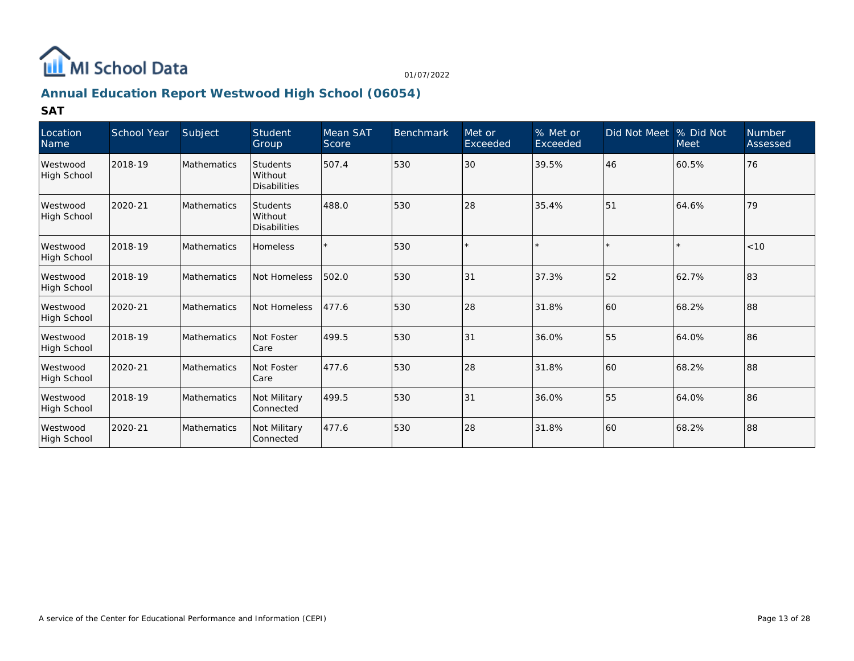

## **Annual Education Report Westwood High School (06054)**

| Location<br>Name               | <b>School Year</b> | Subject            | Student<br>Group                           | Mean SAT<br>Score | <b>Benchmark</b> | Met or<br>Exceeded | % Met or<br>Exceeded | Did Not Meet  % Did Not | <b>Meet</b> | Number<br>Assessed |
|--------------------------------|--------------------|--------------------|--------------------------------------------|-------------------|------------------|--------------------|----------------------|-------------------------|-------------|--------------------|
| Westwood<br>High School        | 2018-19            | <b>Mathematics</b> | <b>Students</b><br>Without<br>Disabilities | 507.4             | 530              | 30                 | 39.5%                | 46                      | 60.5%       | 76                 |
| Westwood<br>High School        | 2020-21            | <b>Mathematics</b> | Students<br>Without<br>Disabilities        | 488.0             | 530              | 28                 | 35.4%                | 51                      | 64.6%       | 79                 |
| Westwood<br>High School        | 2018-19            | Mathematics        | <b>Homeless</b>                            |                   | 530              |                    |                      |                         |             | < 10               |
| Westwood<br>High School        | 2018-19            | <b>Mathematics</b> | Not Homeless                               | 502.0             | 530              | 31                 | 37.3%                | 52                      | 62.7%       | 83                 |
| Westwood<br>High School        | 2020-21            | <b>Mathematics</b> | Not Homeless                               | 477.6             | 530              | 28                 | 31.8%                | 160                     | 68.2%       | 88                 |
| Westwood<br><b>High School</b> | 2018-19            | Mathematics        | Not Foster<br>Care                         | 499.5             | 530              | 31                 | 36.0%                | 55                      | 64.0%       | 86                 |
| Westwood<br>High School        | 2020-21            | <b>Mathematics</b> | Not Foster<br>Care                         | 477.6             | 530              | 28                 | 31.8%                | 160                     | 68.2%       | 88                 |
| Westwood<br>High School        | 2018-19            | <b>Mathematics</b> | Not Military<br>Connected                  | 499.5             | 530              | 31                 | 36.0%                | 55                      | 64.0%       | 86                 |
| Westwood<br>High School        | 2020-21            | <b>Mathematics</b> | Not Military<br>Connected                  | 477.6             | 530              | 28                 | 31.8%                | 60                      | 68.2%       | 88                 |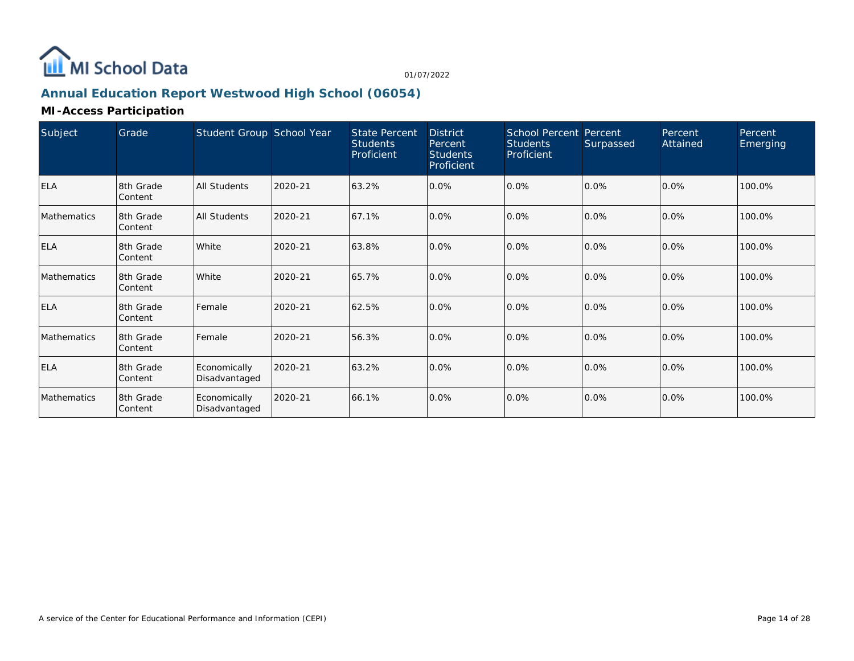

## **Annual Education Report Westwood High School (06054)**

### **MI-Access Participation**

| Subject     | Grade                | Student Group School Year     |         | <b>State Percent</b><br><b>Students</b><br>Proficient | <b>District</b><br>Percent<br><b>Students</b><br>Proficient | <b>School Percent Percent</b><br><b>Students</b><br>Proficient | Surpassed | Percent<br>Attained | Percent<br>Emerging |
|-------------|----------------------|-------------------------------|---------|-------------------------------------------------------|-------------------------------------------------------------|----------------------------------------------------------------|-----------|---------------------|---------------------|
| <b>ELA</b>  | 8th Grade<br>Content | All Students                  | 2020-21 | 63.2%                                                 | 0.0%                                                        | 0.0%                                                           | 0.0%      | 0.0%                | 100.0%              |
| Mathematics | 8th Grade<br>Content | All Students                  | 2020-21 | 67.1%                                                 | 0.0%                                                        | 0.0%                                                           | 0.0%      | 0.0%                | 100.0%              |
| <b>ELA</b>  | 8th Grade<br>Content | White                         | 2020-21 | 63.8%                                                 | 0.0%                                                        | $0.0\%$                                                        | 0.0%      | $0.0\%$             | 100.0%              |
| Mathematics | 8th Grade<br>Content | White                         | 2020-21 | 65.7%                                                 | 0.0%                                                        | 0.0%                                                           | 0.0%      | 0.0%                | 100.0%              |
| <b>ELA</b>  | 8th Grade<br>Content | Female                        | 2020-21 | 62.5%                                                 | 0.0%                                                        | 0.0%                                                           | 0.0%      | 0.0%                | 100.0%              |
| Mathematics | 8th Grade<br>Content | Female                        | 2020-21 | 56.3%                                                 | 0.0%                                                        | 0.0%                                                           | 0.0%      | 0.0%                | 100.0%              |
| <b>ELA</b>  | 8th Grade<br>Content | Economically<br>Disadvantaged | 2020-21 | 63.2%                                                 | 0.0%                                                        | 0.0%                                                           | 0.0%      | 0.0%                | 100.0%              |
| Mathematics | 8th Grade<br>Content | Economically<br>Disadvantaged | 2020-21 | 66.1%                                                 | 0.0%                                                        | 0.0%                                                           | 0.0%      | 0.0%                | 100.0%              |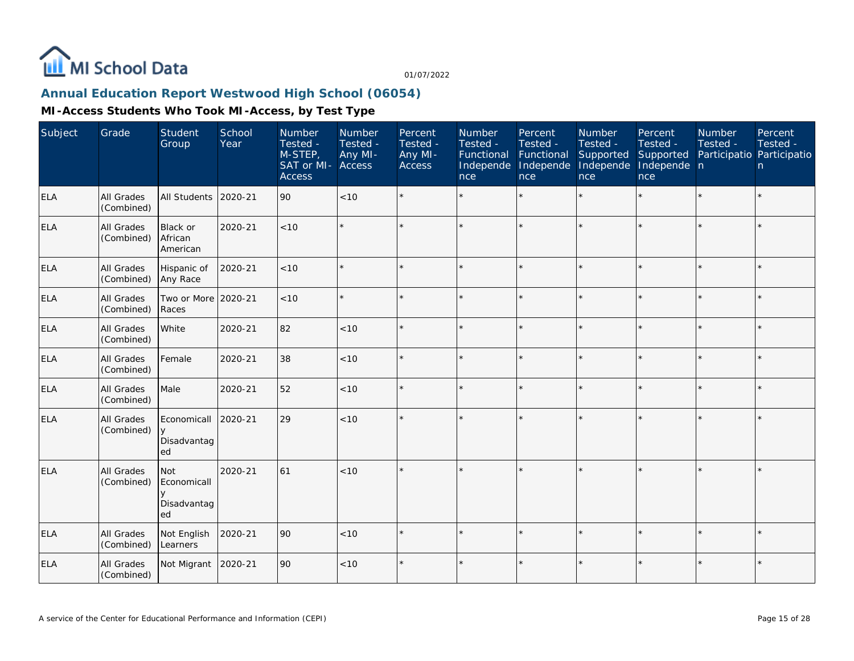

## **Annual Education Report Westwood High School (06054)**

| Subject    | Grade                           | Student<br>Group                             | School<br>Year | Number<br>Tested -<br>M-STEP,<br>SAT or MI-<br><b>Access</b> | Number<br>Tested -<br>Any MI-<br>Access | Percent<br>Tested -<br>Any MI-<br>Access | Number<br>Tested -<br>Functional<br>Independe<br>nce | Percent<br>Tested -<br>Functional<br>Independe<br>nce | <b>Number</b><br>Tested -<br>Supported<br>Independe<br>nce | Percent<br>Tested -<br>Supported<br>Independe n<br>nce | <b>Number</b><br>Tested -<br>Participatio Participatio | Percent<br>Tested -<br>n. |
|------------|---------------------------------|----------------------------------------------|----------------|--------------------------------------------------------------|-----------------------------------------|------------------------------------------|------------------------------------------------------|-------------------------------------------------------|------------------------------------------------------------|--------------------------------------------------------|--------------------------------------------------------|---------------------------|
| <b>ELA</b> | All Grades<br>(Combined)        | All Students                                 | 2020-21        | 90                                                           | $<10$                                   |                                          |                                                      | $\star$                                               | ÷                                                          |                                                        |                                                        | $\star$                   |
| <b>ELA</b> | <b>All Grades</b><br>(Combined) | <b>Black or</b><br>African<br>American       | 2020-21        | < 10                                                         |                                         |                                          |                                                      |                                                       |                                                            | ×.                                                     |                                                        | $\star$                   |
| <b>ELA</b> | All Grades<br>(Combined)        | Hispanic of<br>Any Race                      | 2020-21        | $<10$                                                        |                                         |                                          |                                                      |                                                       |                                                            |                                                        |                                                        | $\star$                   |
| <b>ELA</b> | All Grades<br>(Combined)        | Two or More<br>Races                         | 2020-21        | $<10$                                                        |                                         | $\star$                                  |                                                      | $\star$                                               | ÷                                                          |                                                        | $\star$                                                | $\star$                   |
| <b>ELA</b> | All Grades<br>(Combined)        | White                                        | 2020-21        | 82                                                           | < 10                                    | $\star$                                  |                                                      | $\star$                                               | ÷                                                          | $\star$                                                | $\star$                                                | $\star$                   |
| <b>ELA</b> | All Grades<br>(Combined)        | Female                                       | 2020-21        | 38                                                           | < 10                                    |                                          |                                                      |                                                       | ÷                                                          |                                                        |                                                        | $\star$                   |
| <b>ELA</b> | All Grades<br>(Combined)        | Male                                         | 2020-21        | 52                                                           | < 10                                    |                                          |                                                      |                                                       |                                                            |                                                        |                                                        | $\star$                   |
| <b>ELA</b> | All Grades<br>(Combined)        | Economicall<br>У<br>Disadvantag<br>ed        | 2020-21        | 29                                                           | < 10                                    |                                          |                                                      |                                                       |                                                            |                                                        |                                                        | $\star$                   |
| <b>ELA</b> | All Grades<br>(Combined)        | Not<br>Economicall<br>y<br>Disadvantag<br>ed | 2020-21        | 61                                                           | $<10$                                   |                                          |                                                      |                                                       |                                                            |                                                        |                                                        | $\star$                   |
| <b>ELA</b> | All Grades<br>(Combined)        | Not English<br>Learners                      | 2020-21        | 90                                                           | $<10$                                   |                                          |                                                      |                                                       | $\star$                                                    | ×.                                                     | $\star$                                                | $\star$                   |
| ELA        | All Grades<br>(Combined)        | Not Migrant                                  | 2020-21        | 90                                                           | $<10$                                   |                                          |                                                      |                                                       |                                                            |                                                        |                                                        | $\star$                   |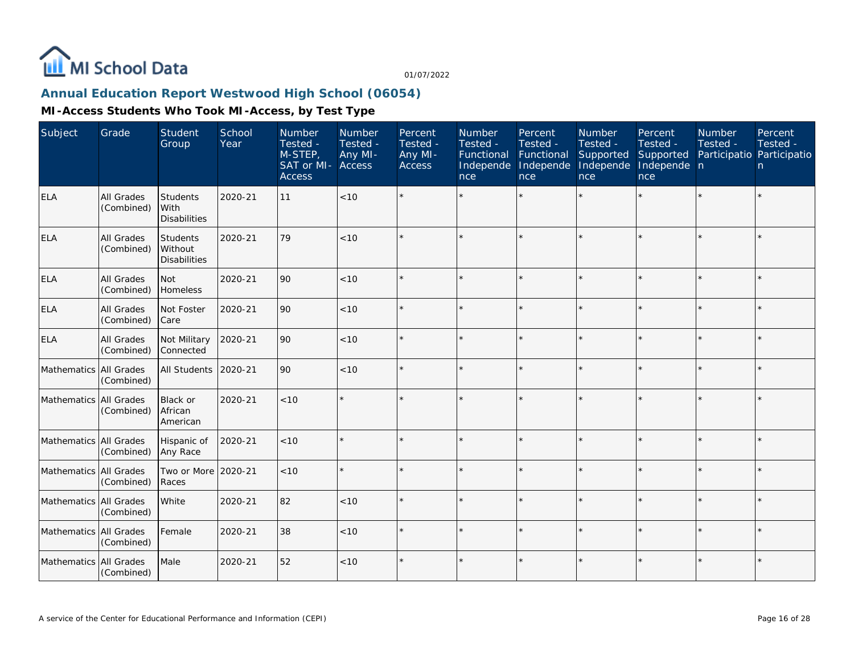

## **Annual Education Report Westwood High School (06054)**

| Subject                  | Grade                           | <b>Student</b><br>Group                    | School<br>Year | Number<br>Tested -<br>M-STEP,<br>SAT or MI-<br><b>Access</b> | Number<br>Tested -<br>Any MI-<br>Access | Percent<br>Tested -<br>Any MI-<br><b>Access</b> | Number<br>Tested -<br>Functional<br>Independe<br>nce | Percent<br>Tested -<br>Functional<br>Independe<br>nce | Number<br>Tested -<br>Supported<br>Independe<br>nce | Percent<br>Tested -<br>Supported<br>Independe n<br>nce | Number<br>Tested -<br>Participatio Participatio | Percent<br>Tested -<br>n. |
|--------------------------|---------------------------------|--------------------------------------------|----------------|--------------------------------------------------------------|-----------------------------------------|-------------------------------------------------|------------------------------------------------------|-------------------------------------------------------|-----------------------------------------------------|--------------------------------------------------------|-------------------------------------------------|---------------------------|
| <b>ELA</b>               | All Grades<br>(Combined)        | Students<br>l With<br><b>Disabilities</b>  | 2020-21        | 11                                                           | $<10$                                   |                                                 |                                                      |                                                       |                                                     |                                                        |                                                 | $\star$                   |
| <b>ELA</b>               | All Grades<br>(Combined)        | Students<br>Without<br><b>Disabilities</b> | 2020-21        | 79                                                           | < 10                                    |                                                 |                                                      |                                                       |                                                     | ×.                                                     |                                                 | $\star$                   |
| <b>ELA</b>               | <b>All Grades</b><br>(Combined) | Not<br>Homeless                            | 2020-21        | 90                                                           | < 10                                    |                                                 |                                                      |                                                       |                                                     |                                                        |                                                 | $\star$                   |
| <b>ELA</b>               | All Grades<br>(Combined)        | Not Foster<br>Care                         | 2020-21        | 90                                                           | < 10                                    |                                                 |                                                      |                                                       |                                                     |                                                        |                                                 | $\star$                   |
| ELA                      | All Grades<br>(Combined)        | Not Military<br>Connected                  | 2020-21        | 90                                                           | < 10                                    |                                                 |                                                      | $\star$                                               | ų.                                                  |                                                        |                                                 | $\star$                   |
| Mathematics              | All Grades<br>(Combined)        | <b>All Students</b>                        | 2020-21        | 90                                                           | < 10                                    |                                                 |                                                      |                                                       | ÷                                                   | ×.                                                     |                                                 | $\star$                   |
| Mathematics All Grades   | (Combined)                      | Black or<br>African<br>American            | 2020-21        | < 10                                                         |                                         |                                                 |                                                      |                                                       |                                                     |                                                        |                                                 | $\star$                   |
| Mathematics All Grades   | (Combined)                      | Hispanic of<br>Any Race                    | 2020-21        | < 10                                                         |                                         |                                                 |                                                      | ÷                                                     |                                                     |                                                        |                                                 | $\star$                   |
| Mathematics All Grades   | (Combined)                      | Two or More 2020-21<br>Races               |                | < 10                                                         |                                         |                                                 |                                                      |                                                       |                                                     |                                                        |                                                 | $\star$                   |
| Mathematics All Grades   | (Combined)                      | White                                      | 2020-21        | 82                                                           | < 10                                    | $\Phi$                                          |                                                      | $\star$                                               | ÷                                                   |                                                        |                                                 | $\star$                   |
| Mathematics All Grades   | (Combined)                      | Female                                     | 2020-21        | 38                                                           | < 10                                    |                                                 |                                                      |                                                       |                                                     |                                                        |                                                 | $\star$                   |
| Mathematics   All Grades | (Combined)                      | Male                                       | 2020-21        | 52                                                           | $<10$                                   |                                                 |                                                      |                                                       |                                                     |                                                        |                                                 | $\star$                   |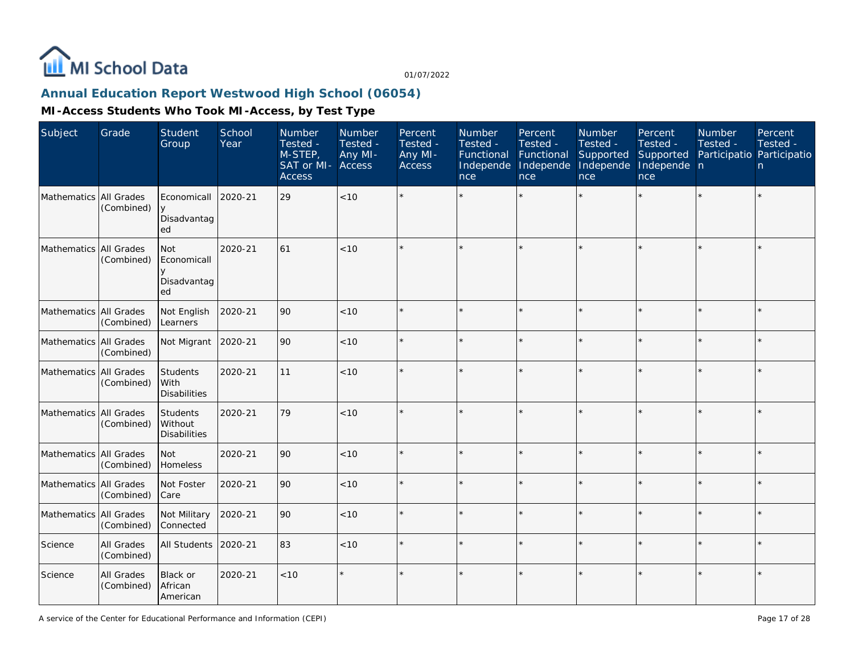

## **Annual Education Report Westwood High School (06054)**

| Subject                | Grade                           | Student<br>Group                                         | School<br>Year | Number<br>Tested -<br>M-STEP,<br>SAT or MI- Access<br><b>Access</b> | Number<br>Tested -<br>Any MI- | Percent<br>Tested -<br>Any MI-<br>Access | Number<br>Tested -<br>Functional<br>Independe<br>nce | Percent<br>Tested -<br>Functional<br>Independe<br>nce | Number<br>Tested -<br>Supported<br>Independe<br>nce | Percent<br>Tested -<br>Supported<br>Independe n<br>nce | Number<br>Tested -<br>Participatio Participatio | Percent<br>Tested -<br>n. |
|------------------------|---------------------------------|----------------------------------------------------------|----------------|---------------------------------------------------------------------|-------------------------------|------------------------------------------|------------------------------------------------------|-------------------------------------------------------|-----------------------------------------------------|--------------------------------------------------------|-------------------------------------------------|---------------------------|
| Mathematics All Grades | (Combined)                      | Economicall<br><b>y</b><br>Disadvantag<br>ed             | 2020-21        | 29                                                                  | < 10                          |                                          |                                                      |                                                       |                                                     | $\star$                                                |                                                 | ×.                        |
| Mathematics All Grades | (Combined)                      | <b>Not</b><br>Economicall<br>$\vee$<br>Disadvantag<br>ed | 2020-21        | 61                                                                  | < 10                          |                                          |                                                      |                                                       |                                                     |                                                        |                                                 | $\star$                   |
| Mathematics All Grades | (Combined)                      | Not English<br>Learners                                  | 2020-21        | 90                                                                  | < 10                          |                                          |                                                      | ÷                                                     |                                                     |                                                        |                                                 | $\star$                   |
| Mathematics All Grades | (Combined)                      | Not Migrant                                              | 2020-21        | 90                                                                  | $<10$                         |                                          |                                                      | $\star$                                               |                                                     | $\star$                                                |                                                 | $\star$                   |
| Mathematics All Grades | (Combined)                      | Students<br>With<br><b>Disabilities</b>                  | 2020-21        | 11                                                                  | < 10                          |                                          |                                                      |                                                       |                                                     |                                                        |                                                 | $\star$                   |
| Mathematics All Grades | (Combined)                      | Students<br>l Without<br><b>Disabilities</b>             | 2020-21        | 79                                                                  | < 10                          |                                          |                                                      | ÷                                                     |                                                     |                                                        |                                                 | $\star$                   |
| Mathematics All Grades | (Combined)                      | Not<br>Homeless                                          | 2020-21        | 90                                                                  | $<10$                         |                                          |                                                      | $\star$                                               |                                                     |                                                        |                                                 | $\star$                   |
| Mathematics All Grades | (Combined)                      | Not Foster<br>Care                                       | 2020-21        | 90                                                                  | < 10                          |                                          |                                                      | $\star$                                               |                                                     | $\star$                                                |                                                 | $\star$                   |
| Mathematics All Grades | (Combined)                      | Not Military<br>Connected                                | 2020-21        | 90                                                                  | < 10                          |                                          |                                                      |                                                       |                                                     | ×.                                                     |                                                 | $\star$                   |
| Science                | All Grades<br>(Combined)        | <b>All Students</b>                                      | 2020-21        | 83                                                                  | < 10                          |                                          |                                                      | $\star$                                               |                                                     | ×.                                                     |                                                 | $\star$                   |
| Science                | <b>All Grades</b><br>(Combined) | Black or<br>African<br>American                          | 2020-21        | < 10                                                                | $\star$                       |                                          |                                                      | $\star$                                               |                                                     |                                                        |                                                 | $\star$                   |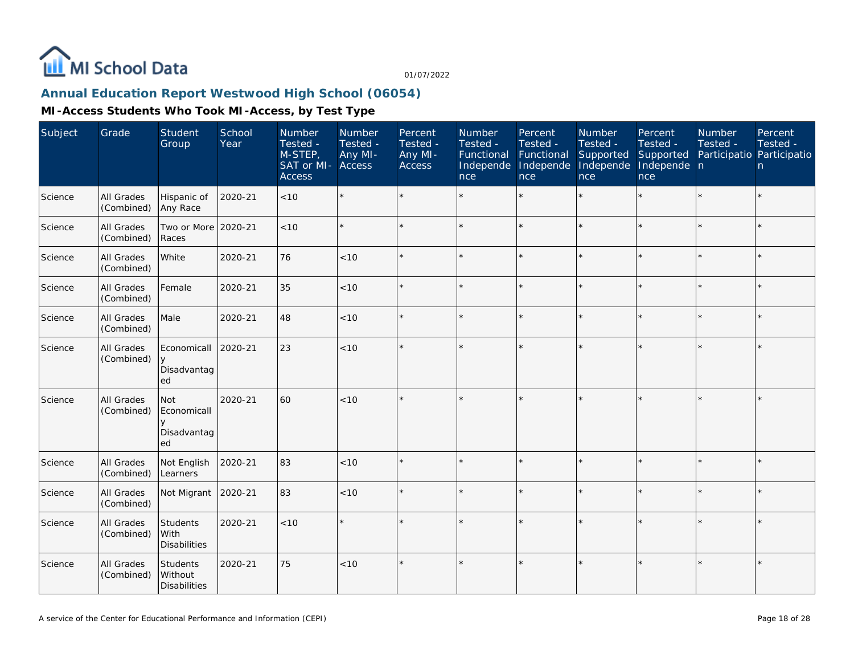

## **Annual Education Report Westwood High School (06054)**

| Subject | Grade                    | Student<br>Group                                         | School<br>Year | Number<br>Tested -<br>M-STEP,<br>SAT or MI-<br><b>Access</b> | Number<br>Tested -<br>Any MI-<br>Access | Percent<br>Tested -<br>Any MI-<br>Access | Number<br>Tested -<br>Functional<br>Independe<br>nce | Percent<br>Tested -<br>Functional<br>Independe<br>nce | Number<br>Tested -<br>Supported<br>Independe<br>nce | Percent<br>Tested -<br>Supported<br>Independe n<br>nce | Number<br>Tested - | Percent<br>Tested -<br>Participatio Participatio<br>n |
|---------|--------------------------|----------------------------------------------------------|----------------|--------------------------------------------------------------|-----------------------------------------|------------------------------------------|------------------------------------------------------|-------------------------------------------------------|-----------------------------------------------------|--------------------------------------------------------|--------------------|-------------------------------------------------------|
| Science | All Grades<br>(Combined) | Hispanic of<br>Any Race                                  | 2020-21        | < 10                                                         | $\star$                                 |                                          |                                                      | $\star$                                               | ÷.                                                  | $\star$                                                |                    | $\star$                                               |
| Science | All Grades<br>(Combined) | Two or More 2020-21<br>Races                             |                | < 10                                                         | $\star$                                 |                                          |                                                      | $\star$                                               |                                                     | ÷                                                      | $\star$            | $\star$                                               |
| Science | All Grades<br>(Combined) | White                                                    | 2020-21        | 76                                                           | < 10                                    |                                          |                                                      | $\star$                                               |                                                     | $\star$                                                |                    | $\star$                                               |
| Science | All Grades<br>(Combined) | Female                                                   | 2020-21        | 35                                                           | $<10$                                   |                                          |                                                      | $\star$                                               |                                                     | ×.                                                     |                    | $\star$                                               |
| Science | All Grades<br>(Combined) | Male                                                     | 2020-21        | 48                                                           | < 10                                    |                                          |                                                      | $\star$                                               |                                                     | ×.                                                     |                    | $\star$                                               |
| Science | All Grades<br>(Combined) | Economicall<br>Disadvantag<br>ed                         | 2020-21        | 23                                                           | < 10                                    |                                          |                                                      |                                                       |                                                     | $\star$                                                |                    | $\star$                                               |
| Science | All Grades<br>(Combined) | <b>Not</b><br>Economicall<br>$\vee$<br>Disadvantag<br>ed | 2020-21        | 60                                                           | < 10                                    |                                          |                                                      |                                                       |                                                     | $\star$                                                |                    | $\star$                                               |
| Science | All Grades<br>(Combined) | Not English<br>Learners                                  | 2020-21        | 83                                                           | < 10                                    |                                          |                                                      | $\star$                                               |                                                     | $\star$                                                |                    | $\star$                                               |
| Science | All Grades<br>(Combined) | Not Migrant                                              | 2020-21        | 83                                                           | < 10                                    |                                          |                                                      | $\star$                                               |                                                     | $\star$                                                |                    | $\star$                                               |
| Science | All Grades<br>(Combined) | Students<br>With<br>Disabilities                         | 2020-21        | < 10                                                         | $\star$                                 |                                          |                                                      |                                                       |                                                     |                                                        |                    | $\star$                                               |
| Science | All Grades<br>(Combined) | Students<br>Without<br><b>Disabilities</b>               | 2020-21        | 75                                                           | < 10                                    |                                          |                                                      | $\star$                                               |                                                     |                                                        |                    | $\star$                                               |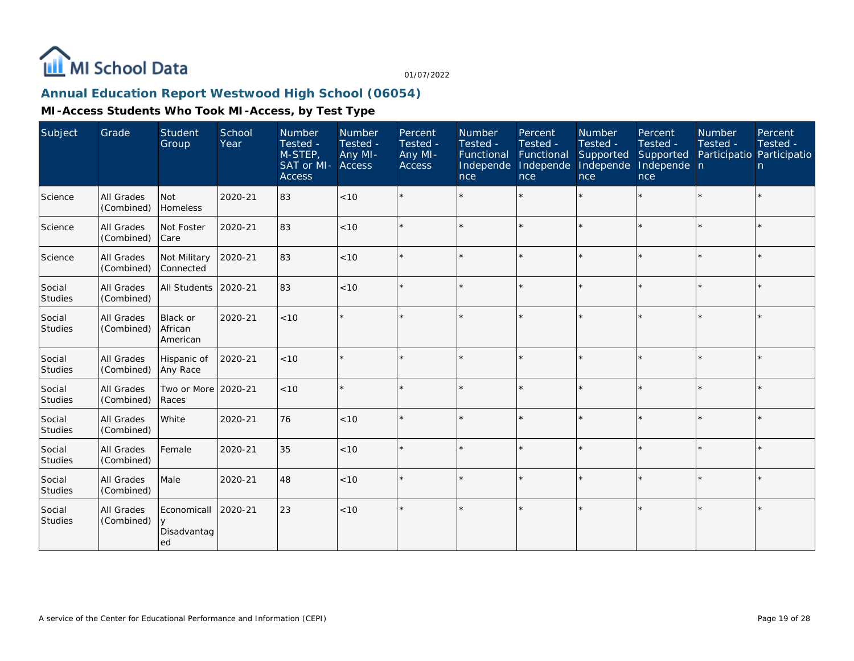

## **Annual Education Report Westwood High School (06054)**

| Subject                  | Grade                           | Student<br>Group                 | School<br>Year | Number<br>Tested -<br>M-STEP,<br>SAT or MI- Access<br><b>Access</b> | Number<br>Tested -<br>Any MI- | Percent<br>Tested -<br>Any MI-<br><b>Access</b> | Number<br>Tested -<br>Functional Functional<br>Independe<br>nce | Percent<br>Tested -<br>Independe<br><b>nce</b> | Number<br>Tested -<br>Supported<br>Independe<br>nce | Percent<br>Tested -<br>Supported<br>Independe n<br>nce | Number<br>Tested -<br>Participatio Participatio | Percent<br>Tested -<br>n |
|--------------------------|---------------------------------|----------------------------------|----------------|---------------------------------------------------------------------|-------------------------------|-------------------------------------------------|-----------------------------------------------------------------|------------------------------------------------|-----------------------------------------------------|--------------------------------------------------------|-------------------------------------------------|--------------------------|
| Science                  | All Grades<br>(Combined)        | Not<br>Homeless                  | 2020-21        | 83                                                                  | < 10                          |                                                 |                                                                 |                                                | $\star$                                             |                                                        |                                                 | $\star$                  |
| Science                  | All Grades<br>(Combined)        | Not Foster<br>Care               | 2020-21        | 83                                                                  | $<10$                         |                                                 |                                                                 |                                                |                                                     |                                                        |                                                 | $\star$                  |
| Science                  | <b>All Grades</b><br>(Combined) | Not Military<br>Connected        | 2020-21        | 83                                                                  | < 10                          |                                                 |                                                                 |                                                | $\star$                                             | ×.                                                     |                                                 | $\star$                  |
| Social<br>Studies        | All Grades<br>(Combined)        | All Students                     | 2020-21        | 83                                                                  | < 10                          |                                                 |                                                                 |                                                |                                                     |                                                        |                                                 | $\star$                  |
| Social<br><b>Studies</b> | All Grades<br>(Combined)        | Black or<br>African<br>American  | 2020-21        | < 10                                                                |                               |                                                 |                                                                 |                                                |                                                     |                                                        |                                                 | $\star$                  |
| Social<br><b>Studies</b> | All Grades<br>(Combined)        | Hispanic of<br>Any Race          | 2020-21        | < 10                                                                |                               |                                                 |                                                                 |                                                |                                                     |                                                        |                                                 | $\star$                  |
| Social<br><b>Studies</b> | <b>All Grades</b><br>(Combined) | Two or More<br>Races             | 2020-21        | < 10                                                                |                               | ÷                                               |                                                                 |                                                | $\star$                                             |                                                        | $\star$                                         | $\star$                  |
| Social<br><b>Studies</b> | <b>All Grades</b><br>(Combined) | White                            | 2020-21        | 76                                                                  | < 10                          |                                                 |                                                                 |                                                |                                                     |                                                        |                                                 | $\star$                  |
| Social<br><b>Studies</b> | <b>All Grades</b><br>(Combined) | Female                           | 2020-21        | 35                                                                  | < 10                          |                                                 |                                                                 |                                                |                                                     |                                                        |                                                 | $\star$                  |
| Social<br><b>Studies</b> | <b>All Grades</b><br>(Combined) | Male                             | 2020-21        | 48                                                                  | < 10                          | $\star$                                         | $\star$                                                         | $\star$                                        |                                                     | sk.                                                    | $\star$                                         | $\star$                  |
| Social<br>Studies        | All Grades<br>(Combined)        | Economicall<br>Disadvantag<br>ed | 2020-21        | 23                                                                  | < 10                          |                                                 |                                                                 |                                                |                                                     |                                                        |                                                 | $\star$                  |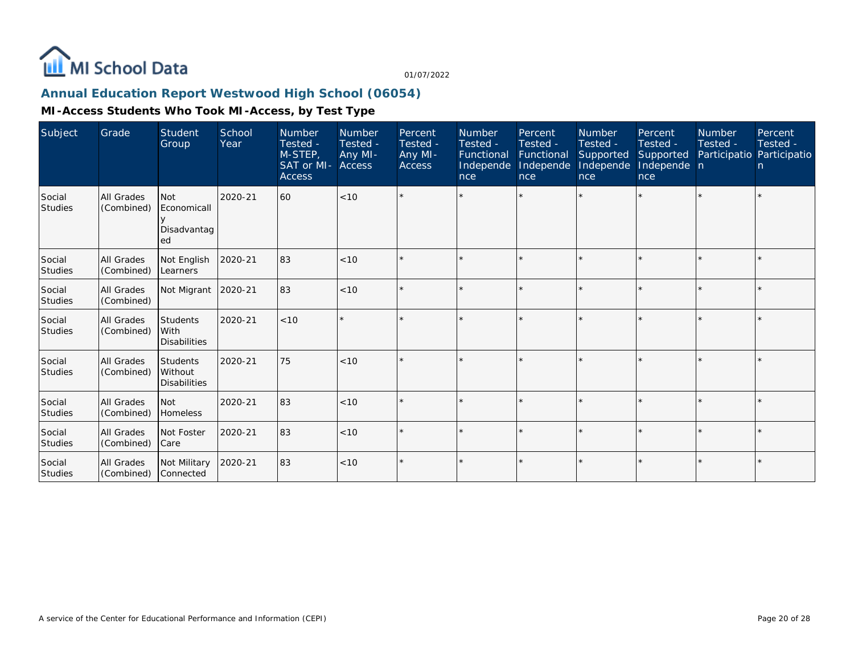

## **Annual Education Report Westwood High School (06054)**

| Subject                  | Grade                           | Student<br>Group                                  | School<br>Year | <b>Number</b><br>Tested -<br>M-STEP,<br>SAT or MI-<br><b>Access</b> | Number<br>Tested -<br>Any MI-<br>Access | Percent<br>Tested -<br>Any MI-<br><b>Access</b> | <b>Number</b><br>Tested -<br>Functional<br>Independe<br>nce | Percent<br>Tested -<br>Functional<br>Independe<br>nce | Number<br>Tested -<br>Supported<br>Independe<br>nce | Percent<br>Tested -<br>Supported<br>Independe n<br>nce | Number<br>Tested - | Percent<br>Tested -<br>Participatio Participatio<br>n. |
|--------------------------|---------------------------------|---------------------------------------------------|----------------|---------------------------------------------------------------------|-----------------------------------------|-------------------------------------------------|-------------------------------------------------------------|-------------------------------------------------------|-----------------------------------------------------|--------------------------------------------------------|--------------------|--------------------------------------------------------|
| Social<br>Studies        | <b>All Grades</b><br>(Combined) | <b>Not</b><br>Economicall<br>Disadvantag<br>ed    | 2020-21        | 60                                                                  | < 10                                    |                                                 |                                                             |                                                       |                                                     |                                                        |                    | $\star$                                                |
| Social<br><b>Studies</b> | All Grades<br>(Combined)        | Not English<br>Learners                           | 2020-21        | 83                                                                  | < 10                                    | $\star$                                         |                                                             |                                                       |                                                     |                                                        |                    | $\star$                                                |
| Social<br><b>Studies</b> | All Grades<br>(Combined)        | Not Migrant                                       | 2020-21        | 83                                                                  | < 10                                    | $\star$                                         |                                                             |                                                       |                                                     |                                                        |                    | $\star$                                                |
| Social<br>Studies        | All Grades<br>(Combined)        | <b>Students</b><br>l With<br><b>Disabilities</b>  | 2020-21        | < 10                                                                |                                         |                                                 |                                                             |                                                       |                                                     |                                                        |                    | $\star$                                                |
| Social<br>Studies        | All Grades<br>(Combined)        | <b>Students</b><br>Without<br><b>Disabilities</b> | 2020-21        | 75                                                                  | < 10                                    |                                                 |                                                             |                                                       |                                                     |                                                        |                    | ÷.                                                     |
| Social<br>Studies        | <b>All Grades</b><br>(Combined) | l Not<br><b>Homeless</b>                          | 2020-21        | 83                                                                  | < 10                                    | $\star$                                         |                                                             |                                                       |                                                     |                                                        |                    | $\star$                                                |
| Social<br>Studies        | All Grades<br>(Combined)        | Not Foster<br>l Care                              | 2020-21        | 83                                                                  | < 10                                    | $\star$                                         |                                                             |                                                       | $\star$                                             |                                                        |                    | $\star$                                                |
| Social<br>Studies        | All Grades<br>(Combined)        | Not Military<br>l Connected                       | 2020-21        | 83                                                                  | < 10                                    |                                                 |                                                             |                                                       |                                                     |                                                        |                    | $\star$                                                |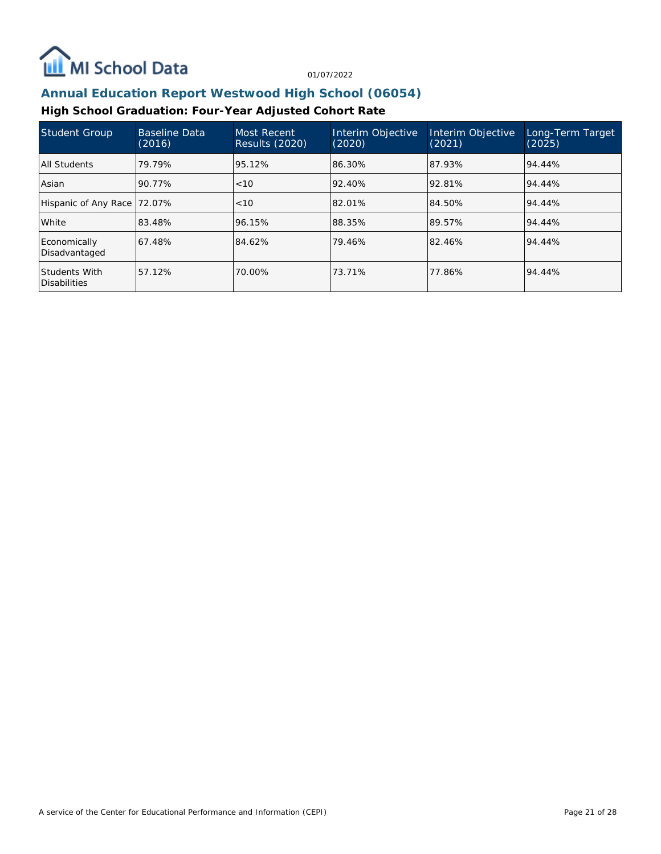

## **Annual Education Report Westwood High School (06054)**

## **High School Graduation: Four-Year Adjusted Cohort Rate**

| Student Group                        | <b>Baseline Data</b><br>(2016) | Most Recent<br><b>Results (2020)</b> | Interim Objective<br>(2020) | Interim Objective<br>(2021) | Long-Term Target<br>(2025) |
|--------------------------------------|--------------------------------|--------------------------------------|-----------------------------|-----------------------------|----------------------------|
| All Students                         | 79.79%                         | 95.12%                               | 86.30%                      | 87.93%                      | 94.44%                     |
| Asian                                | 90.77%                         | < 10                                 | 92.40%                      | 92.81%                      | 94.44%                     |
| Hispanic of Any Race 172.07%         |                                | <10                                  | 82.01%                      | 84.50%                      | 94.44%                     |
| l White                              | 83.48%                         | 96.15%                               | 88.35%                      | 89.57%                      | 94.44%                     |
| Economically<br>Disadvantaged        | 67.48%                         | 84.62%                               | 79.46%                      | 82.46%                      | 94.44%                     |
| Students With<br><b>Disabilities</b> | 57.12%                         | 70.00%                               | 73.71%                      | 77.86%                      | 94.44%                     |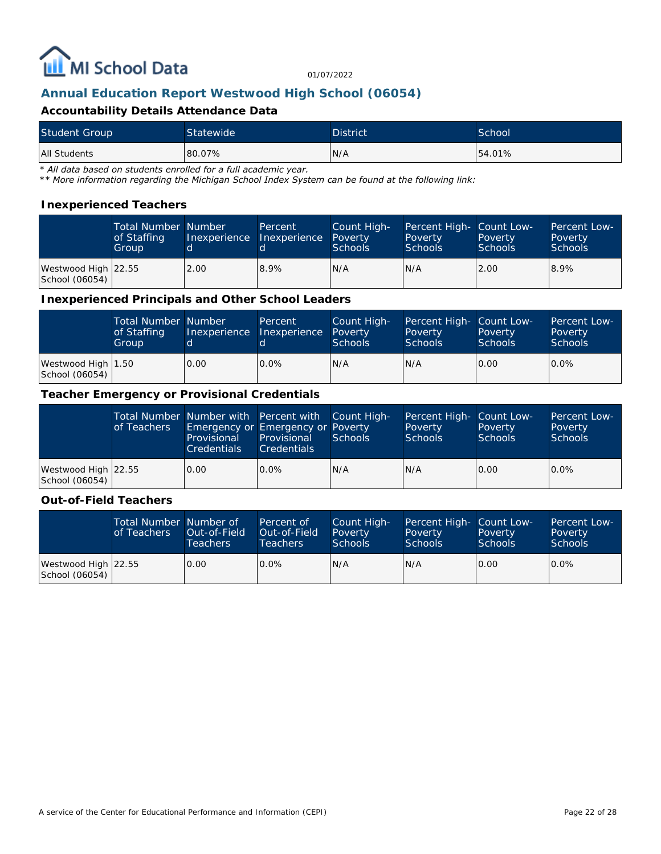

## **Annual Education Report Westwood High School (06054)**

#### **Accountability Details Attendance Data**

| <b>Student Group</b> | Statewide | <b>District</b> | School |
|----------------------|-----------|-----------------|--------|
| All Students         | 80.07%    | N/A             | 54.01% |

*\* All data based on students enrolled for a full academic year.*

*\*\* More information regarding the Michigan School Index System can be found at the following link:*

#### **Inexperienced Teachers**

|                                       | <b>Total Number Number</b><br>of Staffing<br>Group |      | Percent<br>Inexperience Thexperience | Count High-<br>Poverty<br><b>Schools</b> | Percent High- Count Low-<br>Poverty<br><b>Schools</b> | Poverty<br><b>Schools</b> | <b>Percent Low-</b><br>Poverty<br>Schools |
|---------------------------------------|----------------------------------------------------|------|--------------------------------------|------------------------------------------|-------------------------------------------------------|---------------------------|-------------------------------------------|
| Westwood High 22.55<br>School (06054) |                                                    | 2.00 | 8.9%                                 | IN/A                                     | N/A                                                   | 2.00                      | 8.9%                                      |

#### **Inexperienced Principals and Other School Leaders**

|                                        | <b>Total Number Number</b><br>of Staffing<br>Group |      | Percent<br>Inexperience Inexperience | Count High-<br>Poverty<br><b>Schools</b> | Percent High- Count Low-<br>Poverty<br><b>Schools</b> | Poverty<br><b>Schools</b> | Percent Low-<br>Poverty<br>Schools |
|----------------------------------------|----------------------------------------------------|------|--------------------------------------|------------------------------------------|-------------------------------------------------------|---------------------------|------------------------------------|
| Westwood High   1.50<br>School (06054) |                                                    | 0.00 | $0.0\%$                              | N/A                                      | N/A                                                   | 0.00                      | $0.0\%$                            |

#### **Teacher Emergency or Provisional Credentials**

|                                       | of Teachers | Provisional<br><b>Credentials</b> | Total Number Number with Percent with Count High-<br>Emergency or Emergency or Poverty<br>Provisional<br><b>Credentials</b> | Schools | Percent High- Count Low-<br>Poverty<br><b>Schools</b> | Poverty<br><b>Schools</b> | <b>Percent Low-</b><br>Poverty<br>Schools |
|---------------------------------------|-------------|-----------------------------------|-----------------------------------------------------------------------------------------------------------------------------|---------|-------------------------------------------------------|---------------------------|-------------------------------------------|
| Westwood High 22.55<br>School (06054) |             | 0.00                              | $0.0\%$                                                                                                                     | N/A     | N/A                                                   | 0.00                      | $0.0\%$                                   |

#### **Out-of-Field Teachers**

|                                       | Total Number Number of<br>of Teachers | Out-of-Field<br><b>Teachers</b> | Percent of<br>Out-of-Field<br>Teachers | Count High-<br>Poverty<br><b>Schools</b> | Percent High- Count Low-<br>Poverty<br><b>Schools</b> | Poverty<br><b>Schools</b> | <b>Percent Low-</b><br>Poverty<br>Schools |
|---------------------------------------|---------------------------------------|---------------------------------|----------------------------------------|------------------------------------------|-------------------------------------------------------|---------------------------|-------------------------------------------|
| Westwood High 22.55<br>School (06054) |                                       | 0.00                            | $0.0\%$                                | IN/A                                     | N/A                                                   | 0.00                      | $0.0\%$                                   |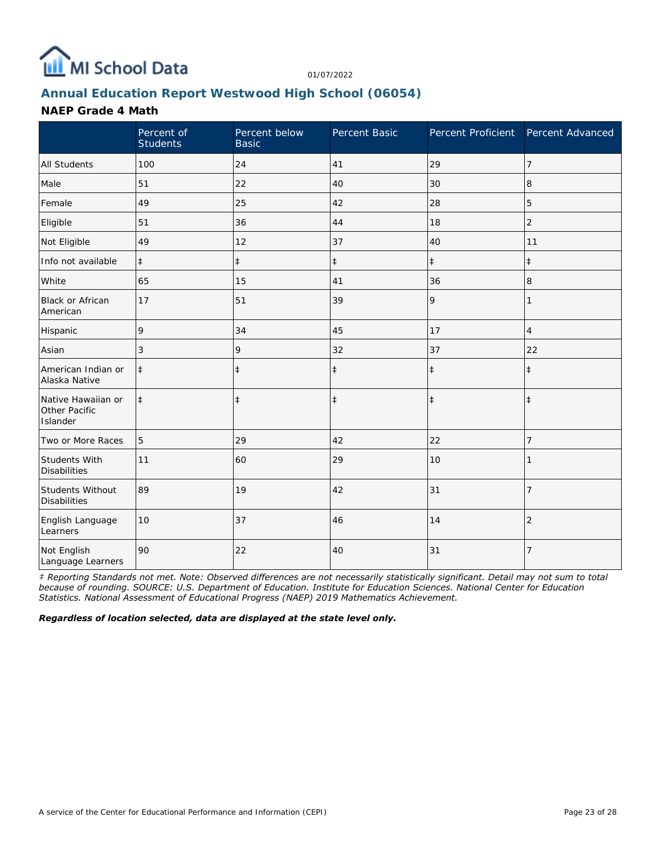

# **Annual Education Report Westwood High School (06054)**

### **NAEP Grade 4 Math**

|                                                 | Percent of<br><b>Students</b> | Percent below<br><b>Basic</b> | Percent Basic | Percent Proficient Percent Advanced |                |
|-------------------------------------------------|-------------------------------|-------------------------------|---------------|-------------------------------------|----------------|
| <b>All Students</b>                             | 100                           | 24                            | 41            | 29                                  | 7              |
| Male                                            | 51                            | 22                            | 40            | 30                                  | 8              |
| Female                                          | 49                            | 25                            | 42            | 28                                  | 5              |
| Eligible                                        | 51                            | 36                            | 44            | 18                                  | $\overline{2}$ |
| Not Eligible                                    | 49                            | 12                            | 37            | 40                                  | 11             |
| Info not available                              | $\ddagger$                    | $\ddagger$                    | $\ddagger$    | $\ddagger$                          | $\ddagger$     |
| White                                           | 65                            | 15                            | 41            | 36                                  | 8              |
| <b>Black or African</b><br>American             | 17                            | 51                            | 39            | 9                                   | 1              |
| Hispanic                                        | 9                             | 34                            | 45            | 17                                  | $\overline{4}$ |
| Asian                                           | 3                             | 9                             | 32            | 37                                  | 22             |
| American Indian or<br>Alaska Native             | $\ddagger$                    | $\ddagger$                    | $\ddagger$    | $\ddagger$                          | $\ddagger$     |
| Native Hawaiian or<br>Other Pacific<br>Islander | $\ddagger$                    | $\ddagger$                    | $\ddagger$    | $\ddagger$                          | $\ddagger$     |
| Two or More Races                               | 5                             | 29                            | 42            | 22                                  | 7              |
| <b>Students With</b><br><b>Disabilities</b>     | 11                            | 60                            | 29            | 10                                  |                |
| Students Without<br><b>Disabilities</b>         | 89                            | 19                            | 42            | 31                                  | $\overline{7}$ |
| English Language<br>Learners                    | 10                            | 37                            | 46            | 14                                  | $\overline{2}$ |
| Not English<br>Language Learners                | 90                            | 22                            | 40            | 31                                  | $\overline{7}$ |

*‡ Reporting Standards not met. Note: Observed differences are not necessarily statistically significant. Detail may not sum to total because of rounding. SOURCE: U.S. Department of Education. Institute for Education Sciences. National Center for Education Statistics. National Assessment of Educational Progress (NAEP) 2019 Mathematics Achievement.*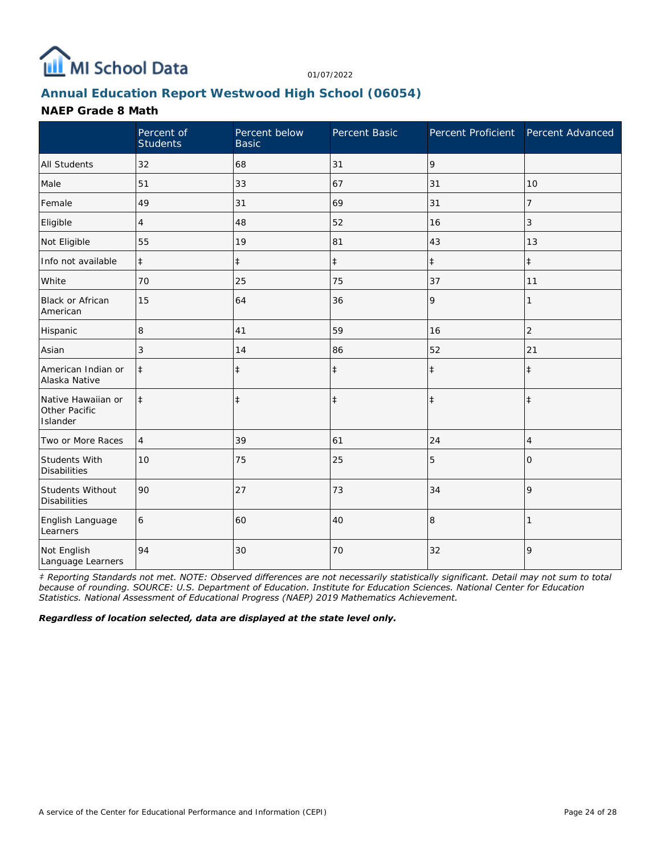

# **Annual Education Report Westwood High School (06054)**

### **NAEP Grade 8 Math**

|                                                 | Percent of<br><b>Students</b> | Percent below<br><b>Basic</b> | Percent Basic |            | Percent Proficient Percent Advanced |
|-------------------------------------------------|-------------------------------|-------------------------------|---------------|------------|-------------------------------------|
| <b>All Students</b>                             | 32                            | 68                            | 31            | 9          |                                     |
| Male                                            | 51                            | 33                            | 67            | 31         | 10                                  |
| Female                                          | 49                            | 31                            | 69            | 31         | 7                                   |
| Eligible                                        | 4                             | 48                            | 52            | 16         | 3                                   |
| Not Eligible                                    | 55                            | 19                            | 81            | 43         | 13                                  |
| Info not available                              | $\ddagger$                    | $\ddagger$                    | $\ddagger$    | $\ddagger$ | $\ddagger$                          |
| White                                           | 70                            | 25                            | 75            | 37         | 11                                  |
| Black or African<br>American                    | 15                            | 64                            | 36            | 9          |                                     |
| Hispanic                                        | 8                             | 41                            | 59            | 16         | $\overline{2}$                      |
| Asian                                           | 3                             | 14                            | 86            | 52         | 21                                  |
| American Indian or<br>Alaska Native             | $\ddagger$                    | $\ddagger$                    | $\ddagger$    | $\ddagger$ | $\ddagger$                          |
| Native Hawaiian or<br>Other Pacific<br>Islander | $\ddagger$                    | $\ddagger$                    | $\ddagger$    | $\ddagger$ | $\ddagger$                          |
| Two or More Races                               | $\overline{4}$                | 39                            | 61            | 24         | 4                                   |
| Students With<br><b>Disabilities</b>            | 10                            | 75                            | 25            | 5          | 0                                   |
| Students Without<br><b>Disabilities</b>         | 90                            | 27                            | 73            | 34         | 9                                   |
| English Language<br>Learners                    | 6                             | 60                            | 40            | 8          |                                     |
| Not English<br>Language Learners                | 94                            | 30                            | 70            | 32         | 9                                   |

*‡ Reporting Standards not met. NOTE: Observed differences are not necessarily statistically significant. Detail may not sum to total because of rounding. SOURCE: U.S. Department of Education. Institute for Education Sciences. National Center for Education Statistics. National Assessment of Educational Progress (NAEP) 2019 Mathematics Achievement.*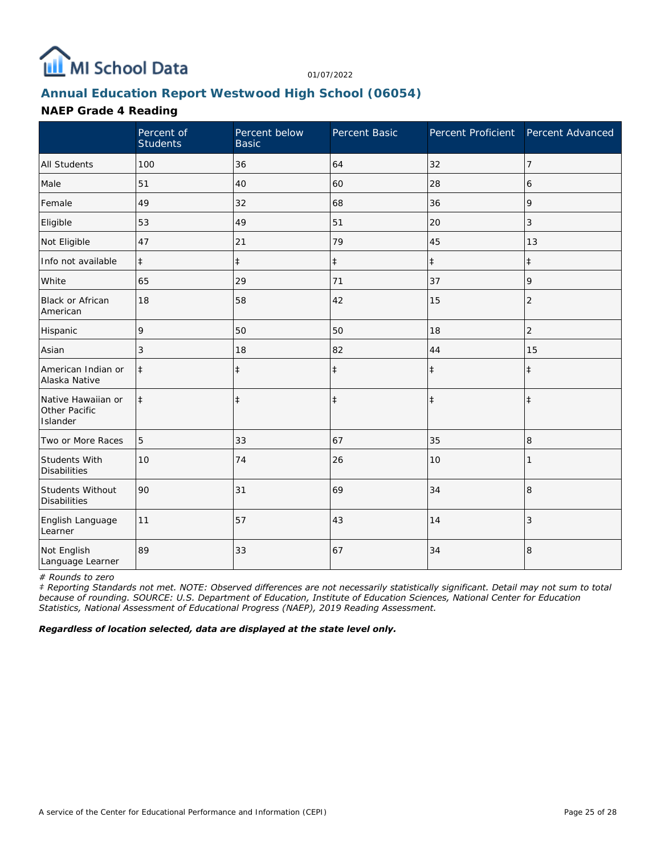

# **Annual Education Report Westwood High School (06054)**

### **NAEP Grade 4 Reading**

|                                                 | Percent of<br><b>Students</b> | Percent below<br><b>Basic</b> | Percent Basic | Percent Proficient Percent Advanced |                |
|-------------------------------------------------|-------------------------------|-------------------------------|---------------|-------------------------------------|----------------|
| <b>All Students</b>                             | 100                           | 36                            | 64            | 32                                  | $\overline{7}$ |
| Male                                            | 51                            | 40                            | 60            | 28                                  | 6              |
| Female                                          | 49                            | 32                            | 68            | 36                                  | 9              |
| Eligible                                        | 53                            | 49                            | 51            | 20                                  | 3              |
| Not Eligible                                    | 47                            | 21                            | 79            | 45                                  | 13             |
| Info not available                              | $\ddagger$                    | $\ddagger$                    | $\ddagger$    | $\ddagger$                          | $\ddagger$     |
| White                                           | 65                            | 29                            | 71            | 37                                  | 9              |
| <b>Black or African</b><br>American             | 18                            | 58                            | 42            | 15                                  | $\overline{2}$ |
| Hispanic                                        | 9                             | 50                            | 50            | 18                                  | $\overline{2}$ |
| Asian                                           | 3                             | 18                            | 82            | 44                                  | 15             |
| American Indian or<br>Alaska Native             | $\ddagger$                    | $\ddagger$                    | $\ddagger$    | $\ddagger$                          | $\ddagger$     |
| Native Hawaiian or<br>Other Pacific<br>Islander | $\ddagger$                    | $\ddagger$                    | $\ddagger$    | $\ddagger$                          | $\ddagger$     |
| Two or More Races                               | 5                             | 33                            | 67            | 35                                  | 8              |
| Students With<br><b>Disabilities</b>            | 10                            | 74                            | 26            | 10                                  |                |
| Students Without<br><b>Disabilities</b>         | 90                            | 31                            | 69            | 34                                  | 8              |
| English Language<br>Learner                     | 11                            | 57                            | 43            | 14                                  | 3              |
| Not English<br>Language Learner                 | 89                            | 33                            | 67            | 34                                  | 8              |

*# Rounds to zero*

*‡ Reporting Standards not met. NOTE: Observed differences are not necessarily statistically significant. Detail may not sum to total because of rounding. SOURCE: U.S. Department of Education, Institute of Education Sciences, National Center for Education Statistics, National Assessment of Educational Progress (NAEP), 2019 Reading Assessment.*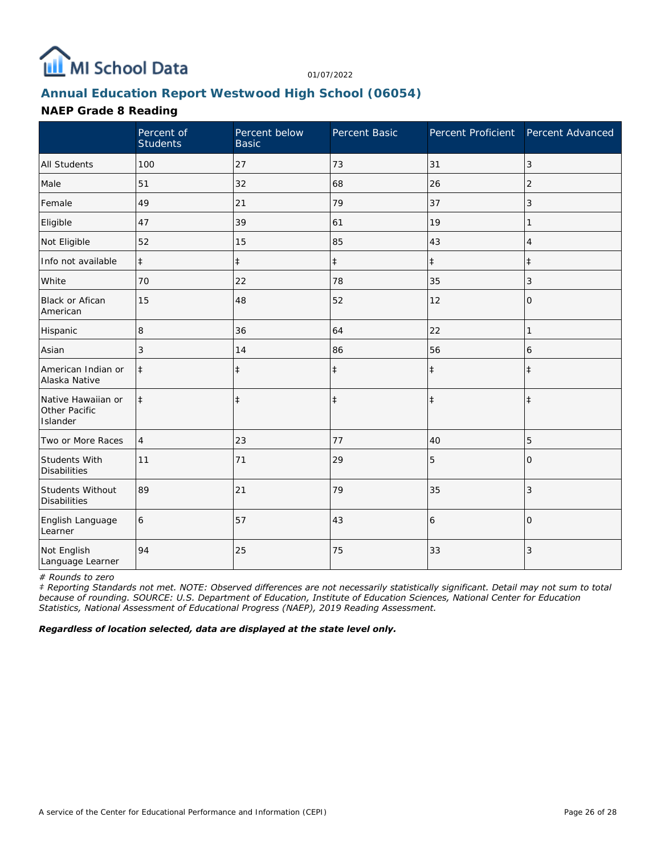

# **Annual Education Report Westwood High School (06054)**

## **NAEP Grade 8 Reading**

|                                                 | Percent of<br><b>Students</b> | Percent below<br><b>Basic</b> | Percent Basic | Percent Proficient Percent Advanced |                |
|-------------------------------------------------|-------------------------------|-------------------------------|---------------|-------------------------------------|----------------|
| <b>All Students</b>                             | 100                           | 27                            | 73            | 31                                  | 3              |
| Male                                            | 51                            | 32                            | 68            | 26                                  | 2              |
| Female                                          | 49                            | 21                            | 79            | 37                                  | 3              |
| Eligible                                        | 47                            | 39                            | 61            | 19                                  | 1              |
| Not Eligible                                    | 52                            | 15                            | 85            | 43                                  | 4              |
| Info not available                              | $\ddagger$                    | $\ddagger$                    | $\ddagger$    | $\ddagger$                          | $\ddagger$     |
| White                                           | 70                            | 22                            | 78            | 35                                  | 3              |
| <b>Black or Afican</b><br>American              | 15                            | 48                            | 52            | 12                                  | $\mathbf{O}$   |
| Hispanic                                        | 8                             | 36                            | 64            | 22                                  | 1              |
| Asian                                           | 3                             | 14                            | 86            | 56                                  | 6              |
| American Indian or<br>Alaska Native             | $\ddagger$                    | $\ddagger$                    | $\ddagger$    | $\ddagger$                          | $\ddagger$     |
| Native Hawaiian or<br>Other Pacific<br>Islander | $\ddagger$                    | $\ddagger$                    | $\ddagger$    | $\ddagger$                          | $\ddagger$     |
| Two or More Races                               | $\overline{4}$                | 23                            | 77            | 40                                  | 5              |
| Students With<br><b>Disabilities</b>            | 11                            | 71                            | 29            | 5                                   | $\Omega$       |
| Students Without<br><b>Disabilities</b>         | 89                            | 21                            | 79            | 35                                  | 3              |
| English Language<br>Learner                     | 6                             | 57                            | 43            | 6                                   | $\overline{0}$ |
| Not English<br>Language Learner                 | 94                            | 25                            | 75            | 33                                  | 3              |

*# Rounds to zero*

*‡ Reporting Standards not met. NOTE: Observed differences are not necessarily statistically significant. Detail may not sum to total because of rounding. SOURCE: U.S. Department of Education, Institute of Education Sciences, National Center for Education Statistics, National Assessment of Educational Progress (NAEP), 2019 Reading Assessment.*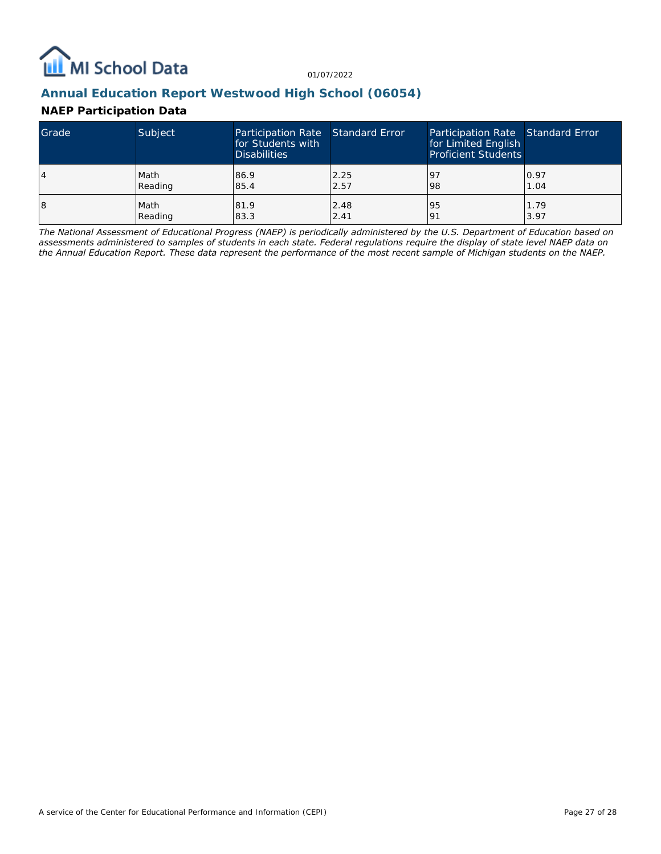

## **Annual Education Report Westwood High School (06054)**

### **NAEP Participation Data**

| Grade | Subject | Participation Rate Standard Error<br>for Students with<br><b>Disabilities</b> |      | Participation Rate Standard Error<br>for Limited English<br><b>Proficient Students</b> |      |
|-------|---------|-------------------------------------------------------------------------------|------|----------------------------------------------------------------------------------------|------|
| 4     | Math    | 86.9                                                                          | 2.25 | <u>l</u> 9                                                                             | 0.97 |
|       | Reading | 85.4                                                                          | 2.57 | 98                                                                                     | 1.04 |
| 18    | Math    | 81.9                                                                          | 2.48 | 95                                                                                     | 1.79 |
|       | Reading | 83.3                                                                          | 2.41 | 191                                                                                    | 3.97 |

*The National Assessment of Educational Progress (NAEP) is periodically administered by the U.S. Department of Education based on assessments administered to samples of students in each state. Federal regulations require the display of state level NAEP data on the Annual Education Report. These data represent the performance of the most recent sample of Michigan students on the NAEP.*